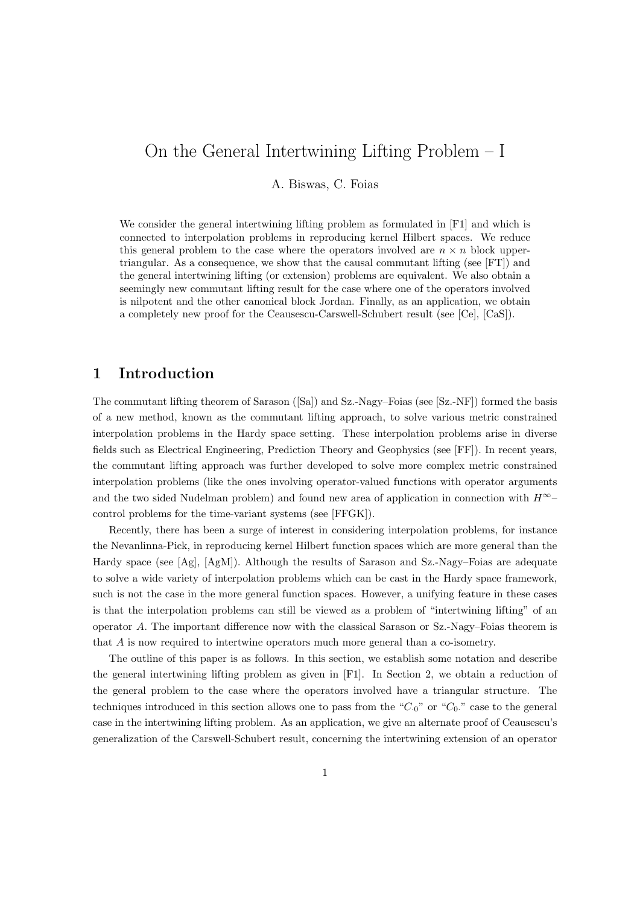# On the General Intertwining Lifting Problem – I

A. Biswas, C. Foias

We consider the general intertwining lifting problem as formulated in [F1] and which is connected to interpolation problems in reproducing kernel Hilbert spaces. We reduce this general problem to the case where the operators involved are  $n \times n$  block uppertriangular. As a consequence, we show that the causal commutant lifting (see [FT]) and the general intertwining lifting (or extension) problems are equivalent. We also obtain a seemingly new commutant lifting result for the case where one of the operators involved is nilpotent and the other canonical block Jordan. Finally, as an application, we obtain a completely new proof for the Ceausescu-Carswell-Schubert result (see [Ce], [CaS]).

## 1 Introduction

The commutant lifting theorem of Sarason ([Sa]) and Sz.-Nagy–Foias (see [Sz.-NF]) formed the basis of a new method, known as the commutant lifting approach, to solve various metric constrained interpolation problems in the Hardy space setting. These interpolation problems arise in diverse fields such as Electrical Engineering, Prediction Theory and Geophysics (see [FF]). In recent years, the commutant lifting approach was further developed to solve more complex metric constrained interpolation problems (like the ones involving operator-valued functions with operator arguments and the two sided Nudelman problem) and found new area of application in connection with  $H^{\infty}$ control problems for the time-variant systems (see [FFGK]).

Recently, there has been a surge of interest in considering interpolation problems, for instance the Nevanlinna-Pick, in reproducing kernel Hilbert function spaces which are more general than the Hardy space (see [Ag], [AgM]). Although the results of Sarason and Sz.-Nagy–Foias are adequate to solve a wide variety of interpolation problems which can be cast in the Hardy space framework, such is not the case in the more general function spaces. However, a unifying feature in these cases is that the interpolation problems can still be viewed as a problem of "intertwining lifting" of an operator A. The important difference now with the classical Sarason or Sz.-Nagy–Foias theorem is that A is now required to intertwine operators much more general than a co-isometry.

The outline of this paper is as follows. In this section, we establish some notation and describe the general intertwining lifting problem as given in [F1]. In Section 2, we obtain a reduction of the general problem to the case where the operators involved have a triangular structure. The techniques introduced in this section allows one to pass from the " $C_0$ " or " $C_0$ " case to the general case in the intertwining lifting problem. As an application, we give an alternate proof of Ceausescu's generalization of the Carswell-Schubert result, concerning the intertwining extension of an operator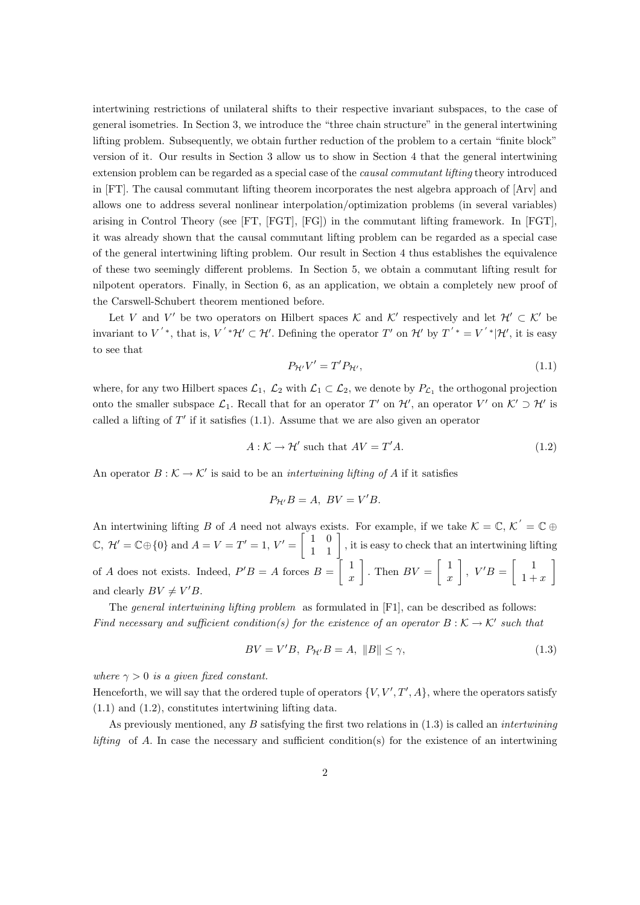intertwining restrictions of unilateral shifts to their respective invariant subspaces, to the case of general isometries. In Section 3, we introduce the "three chain structure" in the general intertwining lifting problem. Subsequently, we obtain further reduction of the problem to a certain "finite block" version of it. Our results in Section 3 allow us to show in Section 4 that the general intertwining extension problem can be regarded as a special case of the causal commutant lifting theory introduced in [FT]. The causal commutant lifting theorem incorporates the nest algebra approach of [Arv] and allows one to address several nonlinear interpolation/optimization problems (in several variables) arising in Control Theory (see [FT, [FGT], [FG]) in the commutant lifting framework. In [FGT], it was already shown that the causal commutant lifting problem can be regarded as a special case of the general intertwining lifting problem. Our result in Section 4 thus establishes the equivalence of these two seemingly different problems. In Section 5, we obtain a commutant lifting result for nilpotent operators. Finally, in Section 6, as an application, we obtain a completely new proof of the Carswell-Schubert theorem mentioned before.

Let V and V' be two operators on Hilbert spaces K and K' respectively and let  $\mathcal{H}' \subset \mathcal{K}'$  be invariant to  $V^{'*}$ , that is,  $V^{'*}\mathcal{H}' \subset \mathcal{H}'$ . Defining the operator T' on  $\mathcal{H}'$  by  $T^{'*} = V^{'*}|\mathcal{H}'$ , it is easy to see that

$$
P_{\mathcal{H}'}V' = T'P_{\mathcal{H}'},\tag{1.1}
$$

where, for any two Hilbert spaces  $\mathcal{L}_1$ ,  $\mathcal{L}_2$  with  $\mathcal{L}_1 \subset \mathcal{L}_2$ , we denote by  $P_{\mathcal{L}_1}$  the orthogonal projection onto the smaller subspace  $\mathcal{L}_1$ . Recall that for an operator T' on  $\mathcal{H}'$ , an operator  $V'$  on  $\mathcal{K}' \supset \mathcal{H}'$  is called a lifting of  $T'$  if it satisfies  $(1.1)$ . Assume that we are also given an operator

$$
A: \mathcal{K} \to \mathcal{H}' \text{ such that } AV = T'A.
$$
\n
$$
(1.2)
$$

An operator  $B: \mathcal{K} \to \mathcal{K}'$  is said to be an *intertwining lifting of A* if it satisfies

$$
P_{\mathcal{H}'}B = A, \ BV = V'B.
$$

An intertwining lifting B of A need not always exists. For example, if we take  $\mathcal{K} = \mathbb{C}, \mathcal{K}' = \mathbb{C} \oplus \mathbb{C}$  $\mathbb{C}, \mathcal{H}' = \mathbb{C} \oplus \{0\} \text{ and } A = V = T' = 1, V' = \begin{bmatrix} 1 & 0 \\ 1 & 1 \end{bmatrix}$ , it is easy to check that an intertwining lifting of A does not exists. Indeed,  $P'B = A$  forces  $B = \begin{bmatrix} 1 \\ 1 \end{bmatrix}$  $\boldsymbol{x}$ . Then  $BV = \begin{bmatrix} 1 \\ 1 \end{bmatrix}$  $\boldsymbol{x}$  $\Bigg\}, V'B = \Bigg[ \begin{array}{c} 1 \\ 1 \end{array} \Bigg]$  $1 + x$ 1 and clearly  $BV \neq V'B$ .

The *general intertwining lifting problem* as formulated in [F1], can be described as follows: Find necessary and sufficient condition(s) for the existence of an operator  $B: K \to K'$  such that

$$
BV = V'B, \ P_{\mathcal{H}'}B = A, \ \|B\| \le \gamma,
$$
\n
$$
(1.3)
$$

where  $\gamma > 0$  is a given fixed constant.

Henceforth, we will say that the ordered tuple of operators  $\{V, V', T', A\}$ , where the operators satisfy (1.1) and (1.2), constitutes intertwining lifting data.

As previously mentioned, any B satisfying the first two relations in  $(1.3)$  is called an *intertwining lifting* of A. In case the necessary and sufficient condition(s) for the existence of an intertwining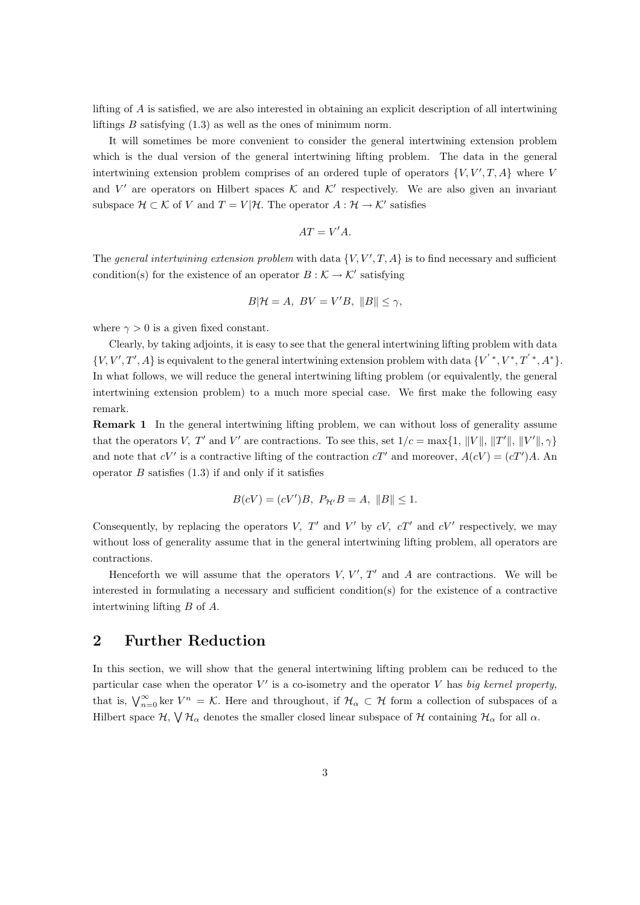lifting of A is satisfied, we are also interested in obtaining an explicit description of all intertwining liftings  $B$  satisfying  $(1.3)$  as well as the ones of minimum norm.

It will sometimes be more convenient to consider the general intertwining extension problem which is the dual version of the general intertwining lifting problem. The data in the general intertwining extension problem comprises of an ordered tuple of operators  $\{V, V', T, A\}$  where V and V' are operators on Hilbert spaces  $K$  and  $K'$  respectively. We are also given an invariant subspace  $\mathcal{H} \subset \mathcal{K}$  of V and  $T = V | \mathcal{H}$ . The operator  $A : \mathcal{H} \to \mathcal{K}'$  satisfies

$$
AT = V'A.
$$

The general intertwining extension problem with data  $\{V, V', T, A\}$  is to find necessary and sufficient condition(s) for the existence of an operator  $B : \mathcal{K} \to \mathcal{K}'$  satisfying

$$
B|\mathcal{H} = A, BV = V'B, ||B|| \le \gamma,
$$

where  $\gamma > 0$  is a given fixed constant.

Clearly, by taking adjoints, it is easy to see that the general intertwining lifting problem with data  $\{V, V', T', A\}$  is equivalent to the general intertwining extension problem with data  $\{V^{'*}, V^*, T^{'*}, A^*\}.$ In what follows, we will reduce the general intertwining lifting problem (or equivalently, the general intertwining extension problem) to a much more special case. We first make the following easy remark.

Remark 1 In the general intertwining lifting problem, we can without loss of generality assume that the operators V, T' and V' are contractions. To see this, set  $1/c = \max\{1, ||V||, ||T'||, ||V'||, \gamma\}$ and note that  $cV'$  is a contractive lifting of the contraction  $cT'$  and moreover,  $A(cV) = (cT')A$ . An operator  $B$  satisfies  $(1.3)$  if and only if it satisfies

$$
B(cV) = (cV')B, \ P_{\mathcal{H}'}B = A, \|B\| \le 1.
$$

Consequently, by replacing the operators V,  $T'$  and  $V'$  by  $cV$ ,  $cT'$  and  $cV'$  respectively, we may without loss of generality assume that in the general intertwining lifting problem, all operators are contractions.

Henceforth we will assume that the operators  $V, V', T'$  and A are contractions. We will be interested in formulating a necessary and sufficient condition(s) for the existence of a contractive intertwining lifting B of A.

# 2 Further Reduction

In this section, we will show that the general intertwining lifting problem can be reduced to the particular case when the operator  $V'$  is a co-isometry and the operator V has big kernel property, that is,  $\bigvee_{n=0}^{\infty}$  ker  $V^n = \mathcal{K}$ . Here and throughout, if  $\mathcal{H}_{\alpha} \subset \mathcal{H}$  form a collection of subspaces of a Hilbert space  $\mathcal{H}, \vee \mathcal{H}_\alpha$  denotes the smaller closed linear subspace of  $\mathcal{H}$  containing  $\mathcal{H}_\alpha$  for all  $\alpha$ .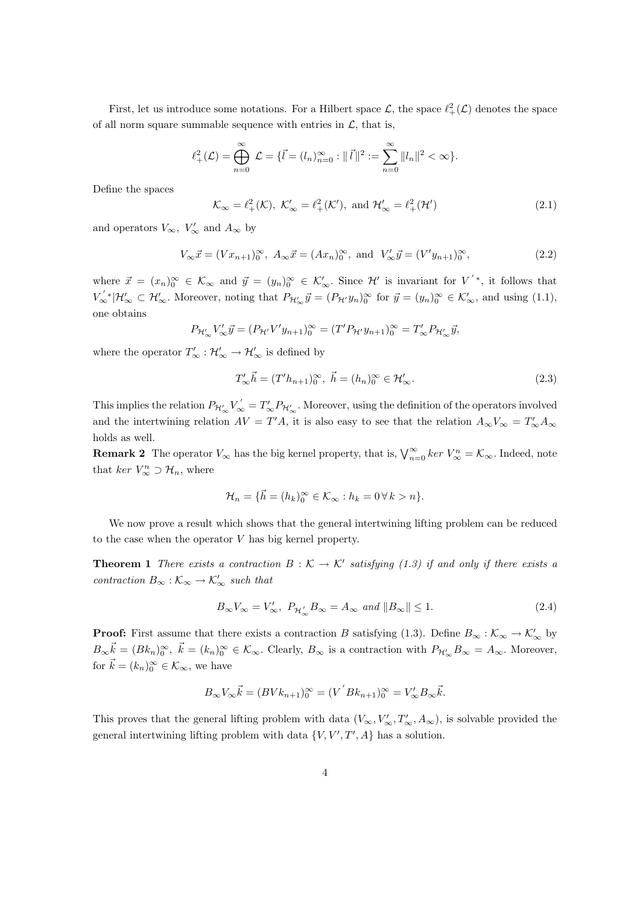First, let us introduce some notations. For a Hilbert space  $\mathcal{L}$ , the space  $\ell^2_+(\mathcal{L})$  denotes the space of all norm square summable sequence with entries in  $\mathcal{L}$ , that is,

$$
\ell^2_+(\mathcal{L}) = \bigoplus_{n=0}^{\infty} \mathcal{L} = \{\vec{l} = (l_n)_{n=0}^{\infty} : ||\vec{l}||^2 := \sum_{n=0}^{\infty} ||l_n||^2 < \infty\}.
$$

Define the spaces

$$
\mathcal{K}_{\infty} = \ell^2_+(\mathcal{K}), \ \mathcal{K}'_{\infty} = \ell^2_+(\mathcal{K}'), \text{ and } \mathcal{H}'_{\infty} = \ell^2_+(\mathcal{H}')
$$
\n(2.1)

and operators  $V_{\infty}$ ,  $V_{\infty}'$  and  $A_{\infty}$  by

$$
V_{\infty}\vec{x} = (Vx_{n+1})_0^{\infty}, A_{\infty}\vec{x} = (Ax_n)_0^{\infty}, \text{ and } V_{\infty}'\vec{y} = (V'y_{n+1})_0^{\infty},
$$
\n(2.2)

where  $\vec{x} = (x_n)_0^{\infty} \in \mathcal{K}_{\infty}$  and  $\vec{y} = (y_n)_0^{\infty} \in \mathcal{K}'_{\infty}$ . Since  $\mathcal{H}'$  is invariant for  $V'$ <sup>\*</sup>, it follows that  $V'_{\infty}^*|\mathcal{H}'_{\infty} \subset \mathcal{H}'_{\infty}$ . Moreover, noting that  $P_{\mathcal{H}'_{\infty}}\vec{y} = (P_{\mathcal{H}'}y_n)_{0}^{\infty}$  for  $\vec{y} = (y_n)_{0}^{\infty} \in \mathcal{K}'_{\infty}$ , and using (1.1), one obtains

$$
P_{\mathcal{H}'_{\infty}} V'_{\infty} \vec{y} = (P_{\mathcal{H}'} V' y_{n+1})_0^{\infty} = (T' P_{\mathcal{H}'} y_{n+1})_0^{\infty} = T'_{\infty} P_{\mathcal{H}'_{\infty}} \vec{y},
$$

where the operator  $T'_{\infty} : \mathcal{H}'_{\infty} \to \mathcal{H}'_{\infty}$  is defined by

$$
T'_{\infty} \vec{h} = (T' h_{n+1})_0^{\infty}, \ \vec{h} = (h_n)_0^{\infty} \in \mathcal{H}'_{\infty}.
$$
 (2.3)

This implies the relation  $P_{\mathcal{H}'_{\infty}}V_{\infty}^{'}=T_{\infty}'P_{\mathcal{H}'_{\infty}}$ . Moreover, using the definition of the operators involved and the intertwining relation  $AV = T'A$ , it is also easy to see that the relation  $A_{\infty}V_{\infty} = T'_{\infty}A_{\infty}$ holds as well.

**Remark 2** The operator  $V_{\infty}$  has the big kernel property, that is,  $\bigvee_{n=0}^{\infty}$  ker  $V_{\infty}^{n} = \mathcal{K}_{\infty}$ . Indeed, note that  $ker V_{\infty}^n \supset \mathcal{H}_n$ , where

$$
\mathcal{H}_n = \{\vec{h} = (h_k)_0^\infty \in \mathcal{K}_\infty : h_k = 0 \,\forall \, k > n\}.
$$

We now prove a result which shows that the general intertwining lifting problem can be reduced to the case when the operator V has big kernel property.

**Theorem 1** There exists a contraction  $B: K \to K'$  satisfying (1.3) if and only if there exists a contraction  $B_{\infty} : \mathcal{K}_{\infty} \to \mathcal{K}'_{\infty}$  such that

$$
B_{\infty}V_{\infty} = V'_{\infty}, \ P_{\mathcal{H}'_{\infty}}B_{\infty} = A_{\infty} \ \text{and} \ \|B_{\infty}\| \le 1. \tag{2.4}
$$

**Proof:** First assume that there exists a contraction B satisfying (1.3). Define  $B_{\infty}: \mathcal{K}_{\infty} \to \mathcal{K}'_{\infty}$  by  $B_{\infty} \vec{k} = (B k_n)_{0}^{\infty}, \ \vec{k} = (k_n)_{0}^{\infty} \in \mathcal{K}_{\infty}$ . Clearly,  $B_{\infty}$  is a contraction with  $P_{\mathcal{H}'_{\infty}} B_{\infty} = A_{\infty}$ . Moreover, for  $\vec{k} = (k_n)_{0}^{\infty} \in \mathcal{K}_{\infty}$ , we have

$$
B_{\infty}V_{\infty}\vec{k} = (BVk_{n+1})_0^{\infty} = (V^{'}Bk_{n+1})_0^{\infty} = V_{\infty}'B_{\infty}\vec{k}.
$$

This proves that the general lifting problem with data  $(V_{\infty}, V'_{\infty}, T'_{\infty}, A_{\infty})$ , is solvable provided the general intertwining lifting problem with data  $\{V, V', T', A\}$  has a solution.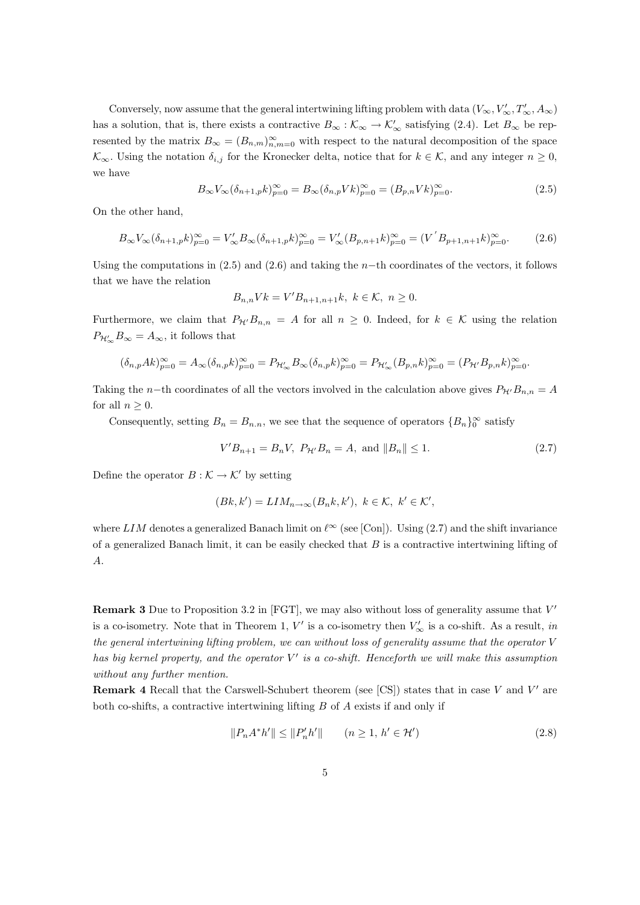Conversely, now assume that the general intertwining lifting problem with data  $(V_{\infty}, V'_{\infty}, T'_{\infty}, A_{\infty})$ has a solution, that is, there exists a contractive  $B_{\infty} : \mathcal{K}_{\infty} \to \mathcal{K}'_{\infty}$  satisfying (2.4). Let  $B_{\infty}$  be represented by the matrix  $B_{\infty} = (B_{n,m})_{n,m=0}^{\infty}$  with respect to the natural decomposition of the space  $\mathcal{K}_{\infty}$ . Using the notation  $\delta_{i,j}$  for the Kronecker delta, notice that for  $k \in \mathcal{K}$ , and any integer  $n \geq 0$ , we have

$$
B_{\infty}V_{\infty}(\delta_{n+1,p}k)_{p=0}^{\infty} = B_{\infty}(\delta_{n,p}Vk)_{p=0}^{\infty} = (B_{p,n}Vk)_{p=0}^{\infty}.
$$
\n(2.5)

On the other hand,

$$
B_{\infty}V_{\infty}(\delta_{n+1,p}k)_{p=0}^{\infty} = V_{\infty}'B_{\infty}(\delta_{n+1,p}k)_{p=0}^{\infty} = V_{\infty}'(B_{p,n+1}k)_{p=0}^{\infty} = (V'B_{p+1,n+1}k)_{p=0}^{\infty}.
$$
 (2.6)

Using the computations in  $(2.5)$  and  $(2.6)$  and taking the n-th coordinates of the vectors, it follows that we have the relation

$$
B_{n,n}Vk = V'B_{n+1,n+1}k, \ k \in \mathcal{K}, \ n \ge 0.
$$

Furthermore, we claim that  $P_{\mathcal{H}'}B_{n,n} = A$  for all  $n \geq 0$ . Indeed, for  $k \in \mathcal{K}$  using the relation  $P_{\mathcal{H}'_{\infty}}B_{\infty}=A_{\infty}$ , it follows that

$$
(\delta_{n,p}Ak)_{p=0}^\infty=A_\infty(\delta_{n,p}k)_{p=0}^\infty=P_{\mathcal{H}_\infty'}B_\infty(\delta_{n,p}k)_{p=0}^\infty=P_{\mathcal{H}_\infty'}(B_{p,n}k)_{p=0}^\infty=(P_{\mathcal{H}'}B_{p,n}k)_{p=0}^\infty.
$$

Taking the n−th coordinates of all the vectors involved in the calculation above gives  $P_{\mathcal{H}'}B_{n,n} = A$ for all  $n \geq 0$ .

Consequently, setting  $B_n = B_{n,n}$ , we see that the sequence of operators  ${B_n}_0^{\infty}$  satisfy

$$
V'B_{n+1} = B_n V, \ P_{\mathcal{H}'} B_n = A, \text{ and } ||B_n|| \le 1.
$$
 (2.7)

Define the operator  $B : \mathcal{K} \to \mathcal{K}'$  by setting

$$
(Bk, k') = LIM_{n \to \infty}(B_n k, k'), k \in \mathcal{K}, k' \in \mathcal{K}',
$$

where LIM denotes a generalized Banach limit on  $\ell^{\infty}$  (see [Con]). Using (2.7) and the shift invariance of a generalized Banach limit, it can be easily checked that  $B$  is a contractive intertwining lifting of A.

**Remark 3** Due to Proposition 3.2 in [FGT], we may also without loss of generality assume that  $V'$ is a co-isometry. Note that in Theorem 1,  $V'$  is a co-isometry then  $V'_{\infty}$  is a co-shift. As a result, in the general intertwining lifting problem, we can without loss of generality assume that the operator  $V$ has big kernel property, and the operator  $V'$  is a co-shift. Henceforth we will make this assumption without any further mention.

**Remark 4** Recall that the Carswell-Schubert theorem (see [CS]) states that in case V and V' are both co-shifts, a contractive intertwining lifting  $B$  of  $A$  exists if and only if

$$
||P_n A^* h'|| \le ||P'_n h'|| \qquad (n \ge 1, \, h' \in \mathcal{H}')
$$
\n(2.8)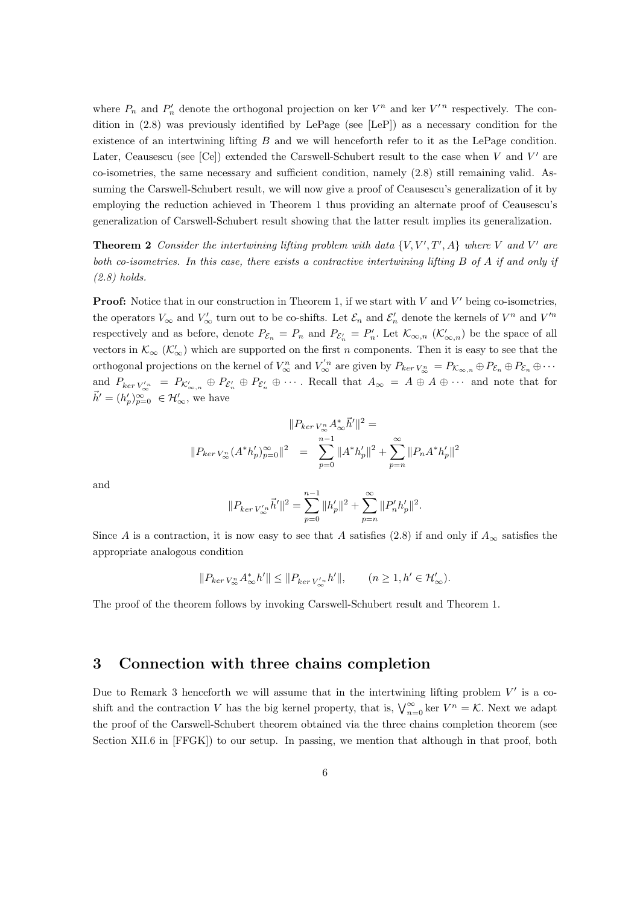where  $P_n$  and  $P'_n$  denote the orthogonal projection on ker  $V^n$  and ker  $V'^n$  respectively. The condition in (2.8) was previously identified by LePage (see [LeP]) as a necessary condition for the existence of an intertwining lifting B and we will henceforth refer to it as the LePage condition. Later, Ceausescu (see [Ce]) extended the Carswell-Schubert result to the case when  $V$  and  $V'$  are co-isometries, the same necessary and sufficient condition, namely (2.8) still remaining valid. Assuming the Carswell-Schubert result, we will now give a proof of Ceausescu's generalization of it by employing the reduction achieved in Theorem 1 thus providing an alternate proof of Ceausescu's generalization of Carswell-Schubert result showing that the latter result implies its generalization.

**Theorem 2** Consider the intertwining lifting problem with data  $\{V, V', T', A\}$  where V and V' are both co-isometries. In this case, there exists a contractive intertwining lifting B of A if and only if  $(2.8)$  holds.

**Proof:** Notice that in our construction in Theorem 1, if we start with  $V$  and  $V'$  being co-isometries, the operators  $V_{\infty}$  and  $V'_{\infty}$  turn out to be co-shifts. Let  $\mathcal{E}_n$  and  $\mathcal{E}'_n$  denote the kernels of  $V^n$  and  $V'^n$ respectively and as before, denote  $P_{\mathcal{E}_n} = P_n$  and  $P_{\mathcal{E}'_n} = P'_n$ . Let  $\mathcal{K}_{\infty,n}$  ( $\mathcal{K}'_{\infty,n}$ ) be the space of all vectors in  $\mathcal{K}_{\infty}$  ( $\mathcal{K}'_{\infty}$ ) which are supported on the first n components. Then it is easy to see that the orthogonal projections on the kernel of  $V_{\infty}^n$  and  $V_{\infty}'^n$  are given by  $P_{ker} V_{\infty}^n = P_{\mathcal{K}_{\infty,n}} \oplus P_{\mathcal{E}_n} \oplus P_{\mathcal{E}_n} \oplus \cdots$ and  $P_{\ker V_{\infty}'}^n = P_{\mathcal{K}_{\infty,n}'} \oplus P_{\mathcal{E}_n'} \oplus P_{\mathcal{E}_n'} \oplus \cdots$ . Recall that  $A_{\infty} = A \oplus A \oplus \cdots$  and note that for  $\vec{h}' = (h'_p)_{p=0}^{\infty} \in \mathcal{H}'_{\infty}$ , we have

$$
||P_{ker\,V_{\infty}^n}A_{\infty}^*\vec{h}'||^2 =
$$
  

$$
||P_{ker\,V_{\infty}^n}(A^*h'_p)_{p=0}^{\infty}||^2 = \sum_{p=0}^{n-1} ||A^*h'_p||^2 + \sum_{p=n}^{\infty} ||P_nA^*h'_p||^2
$$

and

$$
||P_{\ker V_{\infty}^{'n}}\vec{h}'||^{2} = \sum_{p=0}^{n-1} ||h'_{p}||^{2} + \sum_{p=n}^{\infty} ||P'_{n}h'_{p}||^{2}.
$$

Since A is a contraction, it is now easy to see that A satisfies (2.8) if and only if  $A_{\infty}$  satisfies the appropriate analogous condition

$$
\|P_{\ker V_\infty^n}A_\infty^*h'\|\leq \|P_{\ker V_\infty' }n' \|, \qquad (n\geq 1, h'\in \mathcal{H}_\infty').
$$

The proof of the theorem follows by invoking Carswell-Schubert result and Theorem 1.

#### 3 Connection with three chains completion

Due to Remark 3 henceforth we will assume that in the intertwining lifting problem  $V'$  is a coshift and the contraction V has the big kernel property, that is,  $\bigvee_{n=0}^{\infty}$  ker  $V^n = \mathcal{K}$ . Next we adapt the proof of the Carswell-Schubert theorem obtained via the three chains completion theorem (see Section XII.6 in [FFGK]) to our setup. In passing, we mention that although in that proof, both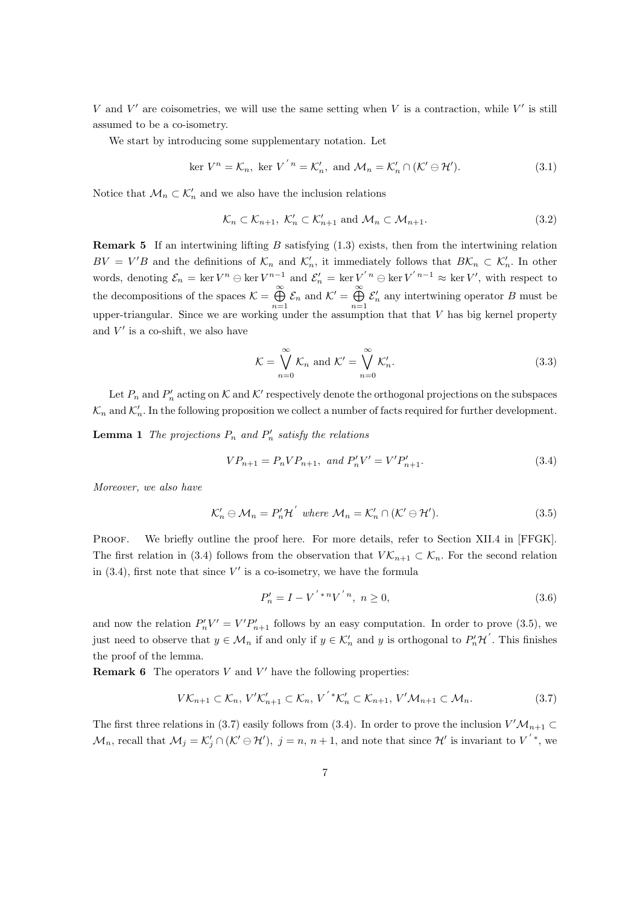V and  $V'$  are coisometries, we will use the same setting when V is a contraction, while  $V'$  is still assumed to be a co-isometry.

We start by introducing some supplementary notation. Let

$$
\ker V^{n} = \mathcal{K}_{n}, \text{ ker } V^{'n} = \mathcal{K}'_{n}, \text{ and } \mathcal{M}_{n} = \mathcal{K}'_{n} \cap (\mathcal{K}' \ominus \mathcal{H}'). \tag{3.1}
$$

Notice that  $\mathcal{M}_n \subset \mathcal{K}'_n$  and we also have the inclusion relations

$$
\mathcal{K}_n \subset \mathcal{K}_{n+1}, \ \mathcal{K}'_n \subset \mathcal{K}'_{n+1} \text{ and } \mathcal{M}_n \subset \mathcal{M}_{n+1}. \tag{3.2}
$$

**Remark 5** If an intertwining lifting B satisfying  $(1.3)$  exists, then from the intertwining relation  $BV = V'B$  and the definitions of  $\mathcal{K}_n$  and  $\mathcal{K}'_n$ , it immediately follows that  $B\mathcal{K}_n \subset \mathcal{K}'_n$ . In other words, denoting  $\mathcal{E}_n = \ker V^n \ominus \ker V^{n-1}$  and  $\mathcal{E}'_n = \ker V'^{n} \ominus \ker V'^{n-1} \approx \ker V'$ , with respect to the decompositions of the spaces  $\mathcal{K} = \bigoplus_{n=1}^{\infty}$  $\bigoplus_{n=1}^{\infty} \mathcal{E}_n$  and  $\mathcal{K}' = \bigoplus_{n=1}^{\infty}$  $n=1$  $\mathcal{E}'_n$  any intertwining operator B must be upper-triangular. Since we are working under the assumption that that V has big kernel property and  $V'$  is a co-shift, we also have

$$
\mathcal{K} = \bigvee_{n=0}^{\infty} \mathcal{K}_n \text{ and } \mathcal{K}' = \bigvee_{n=0}^{\infty} \mathcal{K}'_n.
$$
 (3.3)

Let  $P_n$  and  $P'_n$  acting on K and K' respectively denote the orthogonal projections on the subspaces  $\mathcal{K}_n$  and  $\mathcal{K}'_n$ . In the following proposition we collect a number of facts required for further development.

**Lemma 1** The projections  $P_n$  and  $P'_n$  satisfy the relations

$$
VP_{n+1} = P_n VP_{n+1}, \text{ and } P'_n V' = V'P'_{n+1}.
$$
\n(3.4)

Moreover, we also have

$$
\mathcal{K}'_n \ominus \mathcal{M}_n = P'_n \mathcal{H}' \text{ where } \mathcal{M}_n = \mathcal{K}'_n \cap (\mathcal{K}' \ominus \mathcal{H}'). \tag{3.5}
$$

PROOF. We briefly outline the proof here. For more details, refer to Section XII.4 in [FFGK]. The first relation in (3.4) follows from the observation that  $V\mathcal{K}_{n+1}\subset \mathcal{K}_n$ . For the second relation in  $(3.4)$ , first note that since V' is a co-isometry, we have the formula

$$
P_n' = I - V^{'*n}V^{'n}, \ n \ge 0,
$$
\n(3.6)

and now the relation  $P'_nV' = V'P'_{n+1}$  follows by an easy computation. In order to prove (3.5), we just need to observe that  $y \in M_n$  if and only if  $y \in \mathcal{K}'_n$  and y is orthogonal to  $P'_n\mathcal{H}'$ . This finishes the proof of the lemma.

**Remark 6** The operators  $V$  and  $V'$  have the following properties:

$$
V\mathcal{K}_{n+1}\subset\mathcal{K}_n, V'\mathcal{K}'_{n+1}\subset\mathcal{K}_n, V'\,^*\mathcal{K}'_n\subset\mathcal{K}_{n+1}, V'\mathcal{M}_{n+1}\subset\mathcal{M}_n. \tag{3.7}
$$

The first three relations in (3.7) easily follows from (3.4). In order to prove the inclusion  $V'M_{n+1} \subset$  $\mathcal{M}_n$ , recall that  $\mathcal{M}_j = \mathcal{K}'_j \cap (\mathcal{K}' \ominus \mathcal{H}')$ ,  $j = n, n + 1$ , and note that since  $\mathcal{H}'$  is invariant to  $V'$ <sup>\*</sup>, we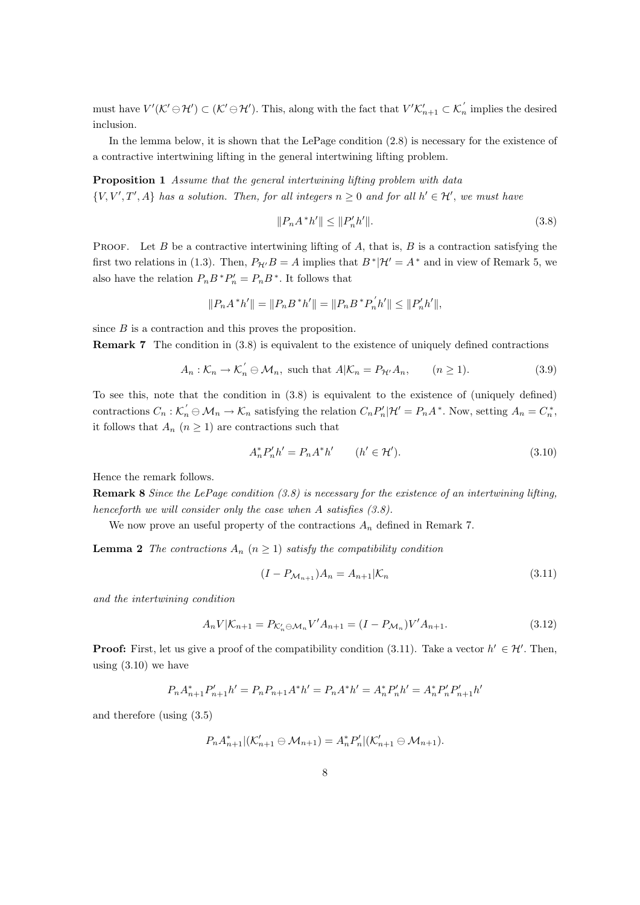must have  $V'(\mathcal{K}' \ominus \mathcal{H}') \subset (\mathcal{K}' \ominus \mathcal{H}')$ . This, along with the fact that  $V'\mathcal{K}'_{n+1} \subset \mathcal{K}'_n$  implies the desired inclusion.

In the lemma below, it is shown that the LePage condition (2.8) is necessary for the existence of a contractive intertwining lifting in the general intertwining lifting problem.

Proposition 1 Assume that the general intertwining lifting problem with data  $\{V, V', T', A\}$  has a solution. Then, for all integers  $n \geq 0$  and for all  $h' \in \mathcal{H}'$ , we must have

$$
||P_n A^* h'|| \le ||P'_n h'||. \tag{3.8}
$$

PROOF. Let B be a contractive intertwining lifting of  $A$ , that is,  $B$  is a contraction satisfying the first two relations in (1.3). Then,  $P_{\mathcal{H}'}B = A$  implies that  $B^*|\mathcal{H}' = A^*$  and in view of Remark 5, we also have the relation  $P_n B^* P'_n = P_n B^*$ . It follows that

$$
||P_n A^* h'|| = ||P_n B^* h'|| = ||P_n B^* P'_n h'|| \le ||P'_n h'||,
$$

since B is a contraction and this proves the proposition.

Remark 7 The condition in (3.8) is equivalent to the existence of uniquely defined contractions

$$
A_n: \mathcal{K}_n \to \mathcal{K}_n' \oplus \mathcal{M}_n, \text{ such that } A|\mathcal{K}_n = P_{\mathcal{H}'}A_n, \qquad (n \ge 1). \tag{3.9}
$$

To see this, note that the condition in (3.8) is equivalent to the existence of (uniquely defined) contractions  $C_n : \mathcal{K}'_n \oplus \mathcal{M}_n \to \mathcal{K}_n$  satisfying the relation  $C_n P'_n |\mathcal{H}' = P_n A^*$ . Now, setting  $A_n = C_n^*$ , it follows that  $A_n$   $(n \geq 1)$  are contractions such that

$$
A_n^* P_n' h' = P_n A^* h' \qquad (h' \in \mathcal{H}'). \tag{3.10}
$$

Hence the remark follows.

Remark 8 Since the LePage condition (3.8) is necessary for the existence of an intertwining lifting, henceforth we will consider only the case when A satisfies  $(3.8)$ .

We now prove an useful property of the contractions  $A_n$  defined in Remark 7.

**Lemma 2** The contractions  $A_n$   $(n \geq 1)$  satisfy the compatibility condition

$$
(I - P_{\mathcal{M}_{n+1}})A_n = A_{n+1}|\mathcal{K}_n
$$
\n(3.11)

and the intertwining condition

$$
A_n V | \mathcal{K}_{n+1} = P_{\mathcal{K}'_n \ominus \mathcal{M}_n} V' A_{n+1} = (I - P_{\mathcal{M}_n}) V' A_{n+1}.
$$
\n(3.12)

**Proof:** First, let us give a proof of the compatibility condition (3.11). Take a vector  $h' \in \mathcal{H}'$ . Then, using  $(3.10)$  we have

$$
P_n A_{n+1}^* P_{n+1}' h' = P_n P_{n+1} A^* h' = P_n A^* h' = A_n^* P_n' h' = A_n^* P_n' P_{n+1}' h'
$$

and therefore (using (3.5)

$$
P_n A_{n+1}^* | (\mathcal{K}_{n+1}' \ominus \mathcal{M}_{n+1}) = A_n^* P_n' | (\mathcal{K}_{n+1}' \ominus \mathcal{M}_{n+1}).
$$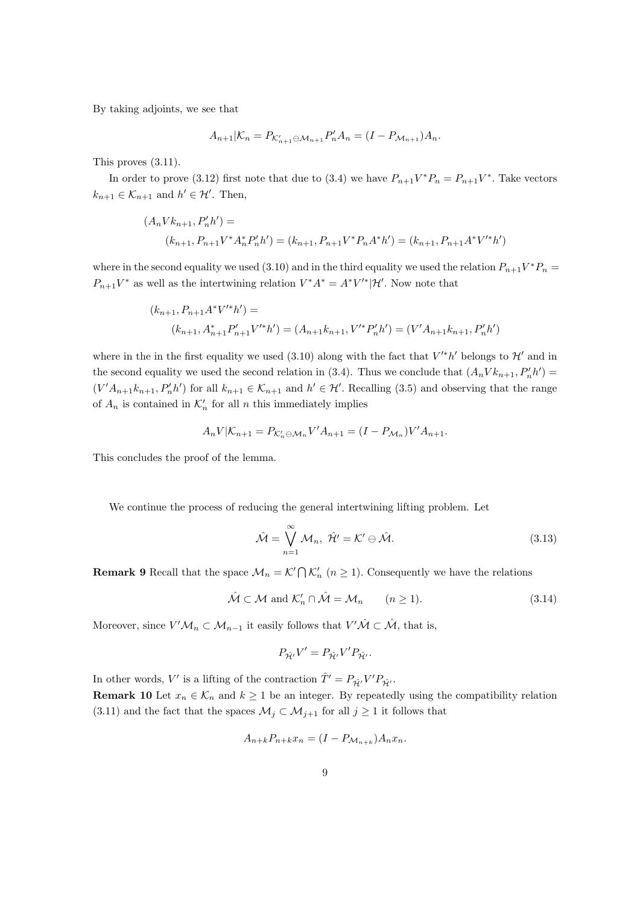By taking adjoints, we see that

$$
A_{n+1}|\mathcal{K}_n = P_{\mathcal{K}'_{n+1} \ominus \mathcal{M}_{n+1}} P'_n A_n = (I - P_{\mathcal{M}_{n+1}}) A_n.
$$

This proves (3.11).

In order to prove (3.12) first note that due to (3.4) we have  $P_{n+1}V^*P_n = P_{n+1}V^*$ . Take vectors  $k_{n+1} \in \mathcal{K}_{n+1}$  and  $h' \in \mathcal{H}'$ . Then,

$$
(A_n V k_{n+1}, P'_n h') =
$$
  

$$
(k_{n+1}, P_{n+1} V^* A_n^* P'_n h') = (k_{n+1}, P_{n+1} V^* P_n A^* h') = (k_{n+1}, P_{n+1} A^* V'^* h')
$$

where in the second equality we used (3.10) and in the third equality we used the relation  $P_{n+1}V^*P_n =$  $P_{n+1}V^*$  as well as the intertwining relation  $V^*A^* = A^*V'^*|\mathcal{H}'$ . Now note that

$$
(k_{n+1}, P_{n+1}A^*V'^*h') =
$$
  

$$
(k_{n+1}, A_{n+1}^*P'_{n+1}V'^*h') = (A_{n+1}k_{n+1}, V'^*P'_n h') = (V'A_{n+1}k_{n+1}, P'_n h')
$$

where in the in the first equality we used (3.10) along with the fact that  $V'^*h'$  belongs to  $\mathcal{H}'$  and in the second equality we used the second relation in (3.4). Thus we conclude that  $(A_n V k_{n+1}, P'_n h') =$  $(V'A_{n+1}k_{n+1}, P'_n h')$  for all  $k_{n+1} \in \mathcal{K}_{n+1}$  and  $h' \in \mathcal{H}'$ . Recalling (3.5) and observing that the range of  $A_n$  is contained in  $\mathcal{K}'_n$  for all n this immediately implies

$$
A_n V | K_{n+1} = P_{K_n' \ominus \mathcal{M}_n} V' A_{n+1} = (I - P_{\mathcal{M}_n}) V' A_{n+1}.
$$

This concludes the proof of the lemma.

We continue the process of reducing the general intertwining lifting problem. Let

$$
\hat{\mathcal{M}} = \bigvee_{n=1}^{\infty} \mathcal{M}_n, \ \hat{\mathcal{H}}' = \mathcal{K}' \ominus \hat{\mathcal{M}}.
$$
 (3.13)

**Remark 9** Recall that the space  $\mathcal{M}_n = \mathcal{K}' \cap \mathcal{K}'_n$   $(n \geq 1)$ . Consequently we have the relations

$$
\hat{\mathcal{M}} \subset \mathcal{M} \text{ and } \mathcal{K}'_n \cap \hat{\mathcal{M}} = \mathcal{M}_n \qquad (n \ge 1). \tag{3.14}
$$

Moreover, since  $V'M_n \subset M_{n-1}$  it easily follows that  $V'\hat{\mathcal{M}} \subset \hat{\mathcal{M}}$ , that is,

$$
P_{\hat{\mathcal{H}}'}V' = P_{\hat{\mathcal{H}}'}V'P_{\hat{\mathcal{H}}'}.
$$

In other words, V' is a lifting of the contraction  $\hat{T}' = P_{\hat{\mathcal{H}}} V' P_{\hat{\mathcal{H}}'}$ . **Remark 10** Let  $x_n \in \mathcal{K}_n$  and  $k \geq 1$  be an integer. By repeatedly using the compatibility relation (3.11) and the fact that the spaces  $\mathcal{M}_j \subset \mathcal{M}_{j+1}$  for all  $j \geq 1$  it follows that

$$
A_{n+k}P_{n+k}x_n = (I - P_{\mathcal{M}_{n+k}})A_nx_n.
$$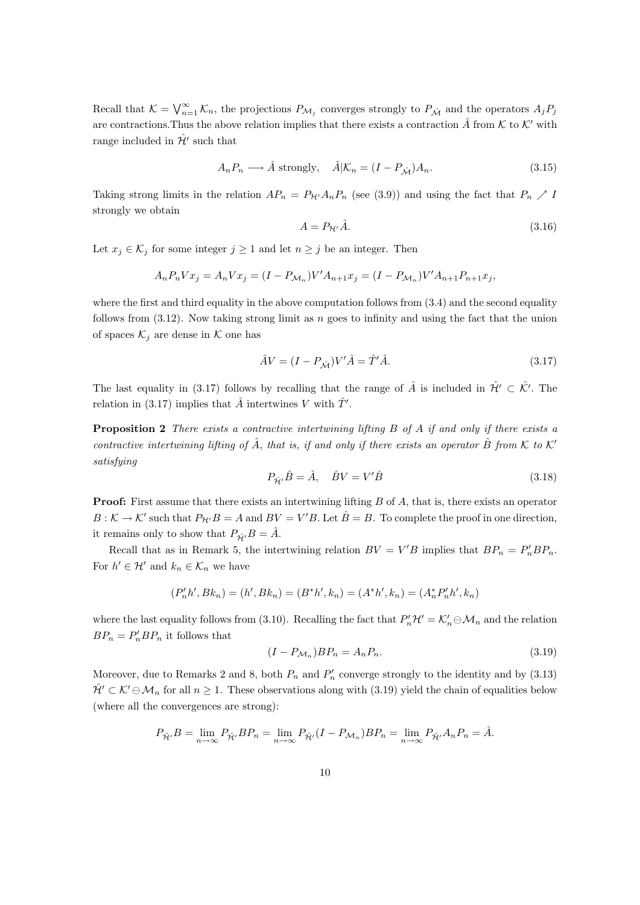Recall that  $\mathcal{K} = \bigvee_{n=1}^{\infty} \mathcal{K}_n$ , the projections  $P_{\mathcal{M}_j}$  converges strongly to  $P_{\hat{\mathcal{M}}}$  and the operators  $A_j P_j$ are contractions. Thus the above relation implies that there exists a contraction  $\hat{A}$  from K to K' with range included in  $\hat{\mathcal{H}}'$  such that

$$
A_n P_n \longrightarrow \hat{A} \text{ strongly}, \quad \hat{A} | \mathcal{K}_n = (I - P_{\hat{\mathcal{M}}}) A_n. \tag{3.15}
$$

Taking strong limits in the relation  $AP_n = P_{\mathcal{H}'}A_nP_n$  (see (3.9)) and using the fact that  $P_n \nearrow I$ strongly we obtain

$$
A = P_{\mathcal{H}'}\hat{A}.\tag{3.16}
$$

Let  $x_j \in \mathcal{K}_j$  for some integer  $j \geq 1$  and let  $n \geq j$  be an integer. Then

$$
A_n P_n V x_j = A_n V x_j = (I - P_{\mathcal{M}_n}) V' A_{n+1} x_j = (I - P_{\mathcal{M}_n}) V' A_{n+1} P_{n+1} x_j,
$$

where the first and third equality in the above computation follows from  $(3.4)$  and the second equality follows from  $(3.12)$ . Now taking strong limit as n goes to infinity and using the fact that the union of spaces  $\mathcal{K}_j$  are dense in  $\mathcal K$  one has

$$
\hat{A}V = (I - P_{\hat{\mathcal{M}}})V'\hat{A} = \hat{T}'\hat{A}.
$$
\n(3.17)

The last equality in (3.17) follows by recalling that the range of  $\hat{A}$  is included in  $\hat{\mathcal{H}}' \subset \hat{\mathcal{K}}'$ . The relation in (3.17) implies that  $\hat{A}$  intertwines V with  $\hat{T}'$ .

**Proposition 2** There exists a contractive intertwining lifting  $B$  of  $A$  if and only if there exists a contractive intertwining lifting of  $\hat{A}$ , that is, if and only if there exists an operator  $\hat{B}$  from  $\hat{K}$  to  $\hat{K}'$ satisfying

$$
P_{\hat{\mathcal{H}}'}\hat{B} = \hat{A}, \quad \hat{B}V = V'\hat{B}
$$
\n(3.18)

Proof: First assume that there exists an intertwining lifting B of A, that is, there exists an operator  $B: \mathcal{K} \to \mathcal{K}'$  such that  $P_{\mathcal{H}'}B = A$  and  $BV = V'B$ . Let  $\hat{B} = B$ . To complete the proof in one direction, it remains only to show that  $P_{\hat{H}'}B = \hat{A}$ .

Recall that as in Remark 5, the intertwining relation  $BV = V'B$  implies that  $BP_n = P'_nBP_n$ . For  $h' \in \mathcal{H}'$  and  $k_n \in \mathcal{K}_n$  we have

$$
(P_n'h',Bk_n)=(h',Bk_n)=(B^*h',k_n)=(A^*h',k_n)=(A_n^*P_n'h',k_n)
$$

where the last equality follows from (3.10). Recalling the fact that  $P'_n\mathcal{H}'=\mathcal{K}'_n\ominus\mathcal{M}_n$  and the relation  $BP_n = P'_nBP_n$  it follows that

$$
(I - P_{\mathcal{M}_n})BP_n = A_n P_n. \tag{3.19}
$$

Moreover, due to Remarks 2 and 8, both  $P_n$  and  $P'_n$  converge strongly to the identity and by (3.13)  $\hat{\mathcal{H}}' \subset \mathcal{K}' \ominus \mathcal{M}_n$  for all  $n \geq 1$ . These observations along with (3.19) yield the chain of equalities below (where all the convergences are strong):

$$
P_{\hat{\mathcal{H}}'}B = \lim_{n \to \infty} P_{\hat{\mathcal{H}}'}BP_n = \lim_{n \to \infty} P_{\hat{\mathcal{H}}'}(I - P_{\mathcal{M}_n})BP_n = \lim_{n \to \infty} P_{\hat{\mathcal{H}}'}A_nP_n = \hat{A}.
$$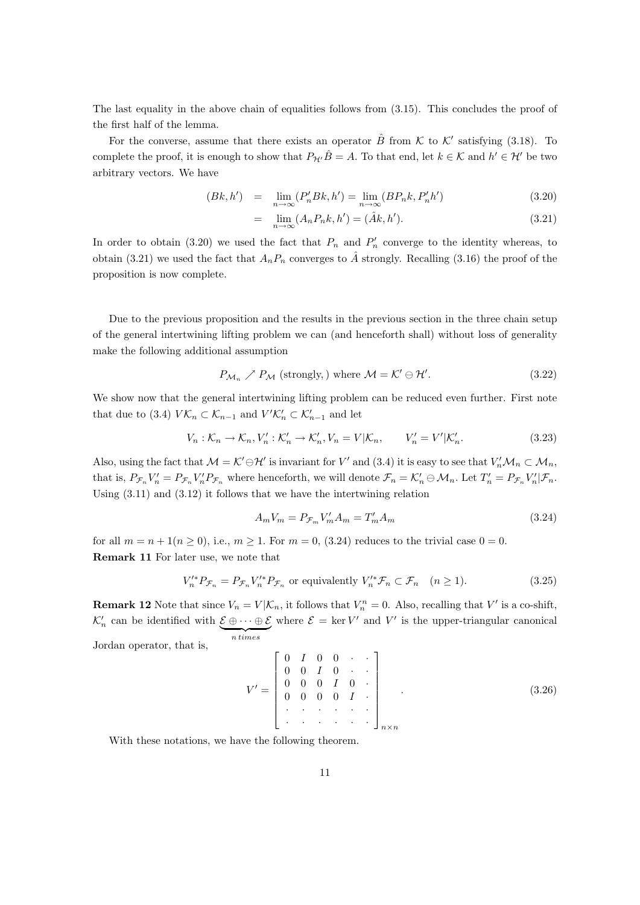The last equality in the above chain of equalities follows from (3.15). This concludes the proof of the first half of the lemma.

For the converse, assume that there exists an operator  $\hat{B}$  from K to K' satisfying (3.18). To complete the proof, it is enough to show that  $P_{\mathcal{H}'}\hat{B} = A$ . To that end, let  $k \in \mathcal{K}$  and  $h' \in \mathcal{H}'$  be two arbitrary vectors. We have

$$
(Bk, h') = \lim_{n \to \infty} (P'_n Bk, h') = \lim_{n \to \infty} (BP_n k, P'_n h') \tag{3.20}
$$

$$
= \lim_{n \to \infty} (A_n P_n k, h') = (\hat{A}k, h'). \tag{3.21}
$$

In order to obtain (3.20) we used the fact that  $P_n$  and  $P'_n$  converge to the identity whereas, to obtain (3.21) we used the fact that  $A_nP_n$  converges to  $\hat{A}$  strongly. Recalling (3.16) the proof of the proposition is now complete.

Due to the previous proposition and the results in the previous section in the three chain setup of the general intertwining lifting problem we can (and henceforth shall) without loss of generality make the following additional assumption

$$
P_{\mathcal{M}_n} \nearrow P_{\mathcal{M}} \text{ (strongly,) where } \mathcal{M} = \mathcal{K}' \ominus \mathcal{H}'.
$$
 (3.22)

We show now that the general intertwining lifting problem can be reduced even further. First note that due to (3.4)  $V\mathcal{K}_n \subset \mathcal{K}_{n-1}$  and  $V'\mathcal{K}_n' \subset \mathcal{K}_{n-1}'$  and let

$$
V_n: \mathcal{K}_n \to \mathcal{K}_n, V'_n: \mathcal{K}'_n \to \mathcal{K}'_n, V_n = V | \mathcal{K}_n, \qquad V'_n = V' | \mathcal{K}'_n. \tag{3.23}
$$

Also, using the fact that  $\mathcal{M} = \mathcal{K}' \ominus \mathcal{H}'$  is invariant for  $V'$  and  $(3.4)$  it is easy to see that  $V'_n \mathcal{M}_n \subset \mathcal{M}_n$ , that is,  $P_{\mathcal{F}_n} V_n' = P_{\mathcal{F}_n} V_n' P_{\mathcal{F}_n}$  where henceforth, we will denote  $\mathcal{F}_n = \mathcal{K}'_n \ominus \mathcal{M}_n$ . Let  $T'_n = P_{\mathcal{F}_n} V'_n | \mathcal{F}_n$ . Using (3.11) and (3.12) it follows that we have the intertwining relation

$$
A_m V_m = P_{\mathcal{F}_m} V'_m A_m = T'_m A_m \tag{3.24}
$$

for all  $m = n + 1(n \ge 0)$ , i.e.,  $m \ge 1$ . For  $m = 0$ , (3.24) reduces to the trivial case  $0 = 0$ . Remark 11 For later use, we note that

$$
V_n^{\prime *} P_{\mathcal{F}_n} = P_{\mathcal{F}_n} V_n^{\prime *} P_{\mathcal{F}_n} \text{ or equivalently } V_n^{\prime *} \mathcal{F}_n \subset \mathcal{F}_n \quad (n \ge 1).
$$
 (3.25)

**Remark 12** Note that since  $V_n = V | \mathcal{K}_n$ , it follows that  $V_n^n = 0$ . Also, recalling that V' is a co-shift,  $\mathcal{K}'_n$  can be identified with  $\mathcal{E} \oplus \cdots \oplus \mathcal{E}$  ${n times}$ where  $\mathcal{E} = \ker V'$  and V' is the upper-triangular canonical Jordan operator, that is,

$$
V' = \begin{bmatrix} 0 & I & 0 & 0 & \cdots \\ 0 & 0 & I & 0 & \cdots \\ 0 & 0 & 0 & I & 0 \\ 0 & 0 & 0 & 0 & I \\ \vdots & \vdots & \vdots & \ddots & \vdots \\ 0 & \cdots & \cdots & \cdots & \vdots \\ 0 & \cdots & \cdots & \cdots & \vdots \\ 0 & \cdots & \cdots & \cdots & \cdots \end{bmatrix}_{n \times n} \tag{3.26}
$$

With these notations, we have the following theorem.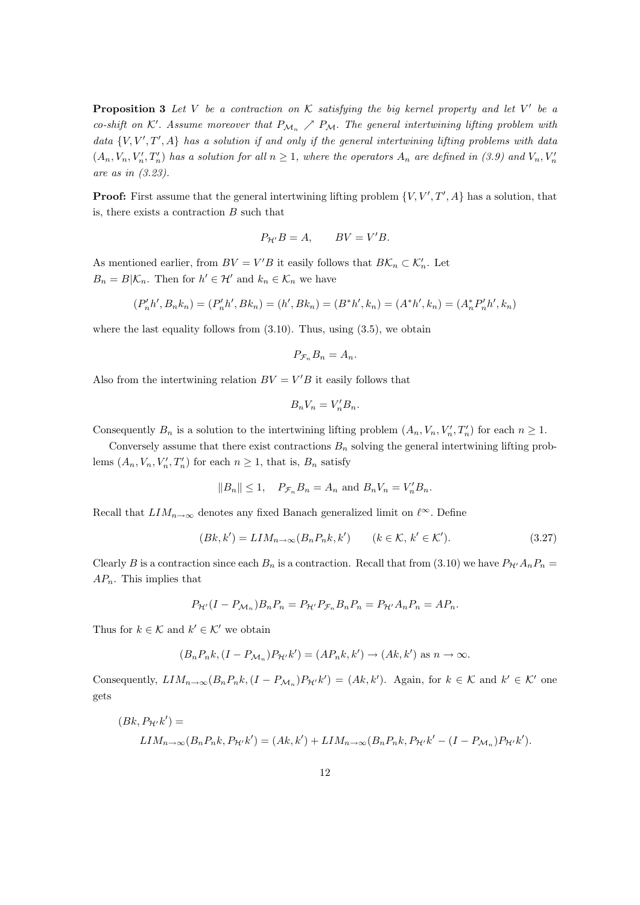**Proposition 3** Let V be a contraction on K satisfying the big kernel property and let V' be a co-shift on K'. Assume moreover that  $P_{\mathcal{M}_n} \nearrow P_{\mathcal{M}}$ . The general intertwining lifting problem with data  $\{V, V', T', A\}$  has a solution if and only if the general intertwining lifting problems with data  $(A_n, V_n, V'_n, T'_n)$  has a solution for all  $n \geq 1$ , where the operators  $A_n$  are defined in (3.9) and  $V_n, V'_n$ are as in (3.23).

**Proof:** First assume that the general intertwining lifting problem  $\{V, V', T', A\}$  has a solution, that is, there exists a contraction  $B$  such that

$$
P_{\mathcal{H}'}B = A, \qquad BV = V'B.
$$

As mentioned earlier, from  $BV = V'B$  it easily follows that  $B\mathcal{K}_n \subset \mathcal{K}'_n$ . Let  $B_n = B | \mathcal{K}_n$ . Then for  $h' \in \mathcal{H}'$  and  $k_n \in \mathcal{K}_n$  we have

$$
(P_n'h',B_nk_n)=(P_n'h',Bk_n)=(h',Bk_n)=(B^*h',k_n)=(A^*h',k_n)=(A_n^*P_n'h',k_n)
$$

where the last equality follows from  $(3.10)$ . Thus, using  $(3.5)$ , we obtain

$$
P_{\mathcal{F}_n} B_n = A_n.
$$

Also from the intertwining relation  $BV = V'B$  it easily follows that

$$
B_n V_n = V_n' B_n.
$$

Consequently  $B_n$  is a solution to the intertwining lifting problem  $(A_n, V_n, V'_n, T'_n)$  for each  $n \geq 1$ .

Conversely assume that there exist contractions  $B_n$  solving the general intertwining lifting problems  $(A_n, V_n, V'_n, T'_n)$  for each  $n \geq 1$ , that is,  $B_n$  satisfy

$$
||B_n|| \le 1
$$
,  $P_{\mathcal{F}_n} B_n = A_n$  and  $B_n V_n = V'_n B_n$ .

Recall that  $LIM_{n\to\infty}$  denotes any fixed Banach generalized limit on  $\ell^{\infty}$ . Define

$$
(Bk, k') = LIM_{n \to \infty}(B_n P_n k, k') \qquad (k \in \mathcal{K}, k' \in \mathcal{K}').
$$
\n
$$
(3.27)
$$

Clearly B is a contraction since each  $B_n$  is a contraction. Recall that from (3.10) we have  $P_{\mathcal{H}'}A_nP_n =$  $AP_n$ . This implies that

$$
P_{\mathcal{H}'}(I - P_{\mathcal{M}_n})B_n P_n = P_{\mathcal{H}'} P_{\mathcal{F}_n} B_n P_n = P_{\mathcal{H}'} A_n P_n = A P_n.
$$

Thus for  $k \in \mathcal{K}$  and  $k' \in \mathcal{K}'$  we obtain

$$
(B_n P_n k, (I - P_{\mathcal{M}_n}) P_{\mathcal{H}'} k') = (A P_n k, k') \to (A k, k') \text{ as } n \to \infty.
$$

Consequently,  $LIM_{n\to\infty}(B_nP_nk,(I-P_{\mathcal{M}_n})P_{\mathcal{H}'}k')=(Ak,k')$ . Again, for  $k \in \mathcal{K}$  and  $k' \in \mathcal{K}'$  one gets

$$
(Bk, P_{\mathcal{H}'}k') =
$$
  

$$
LIM_{n\to\infty}(B_n P_n k, P_{\mathcal{H}'}k') = (Ak, k') + LIM_{n\to\infty}(B_n P_n k, P_{\mathcal{H}'}k' - (I - P_{\mathcal{M}_n})P_{\mathcal{H}'}k').
$$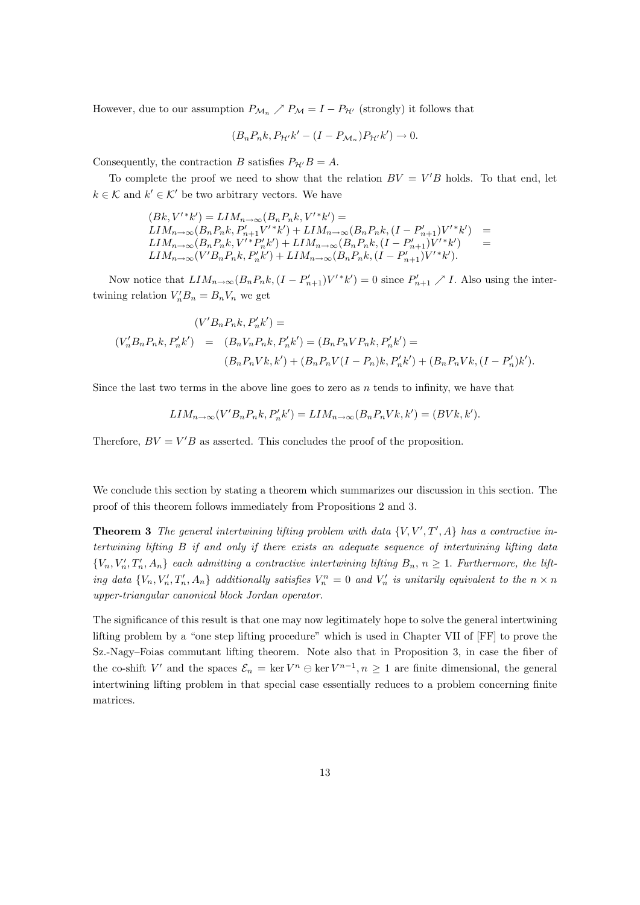However, due to our assumption  $P_{\mathcal{M}_n}$   $\nearrow$   $P_{\mathcal{M}} = I - P_{\mathcal{H}'}$  (strongly) it follows that

$$
(B_n P_n k, P_{\mathcal{H}'} k' - (I - P_{\mathcal{M}_n}) P_{\mathcal{H}'} k') \to 0.
$$

Consequently, the contraction B satisfies  $P_{\mathcal{H}'}B = A$ .

To complete the proof we need to show that the relation  $BV = V'B$  holds. To that end, let  $k \in \mathcal{K}$  and  $k' \in \mathcal{K}'$  be two arbitrary vectors. We have

$$
(Bk, V'^{*}k') = LIM_{n \to \infty}(B_n P_n k, V'^{*}k') =
$$
  
\n
$$
LIM_{n \to \infty}(B_n P_n k, P'_{n+1} V'^{*}k') + LIM_{n \to \infty}(B_n P_n k, (I - P'_{n+1}) V'^{*}k') =
$$
  
\n
$$
LIM_{n \to \infty}(B_n P_n k, V'^{*} P'_n k') + LIM_{n \to \infty}(B_n P_n k, (I - P'_{n+1}) V'^{*}k') =
$$
  
\n
$$
LIM_{n \to \infty}(V' B_n P_n k, P'_n k') + LIM_{n \to \infty}(B_n P_n k, (I - P'_{n+1}) V'^{*}k').
$$

Now notice that  $LIM_{n\to\infty}(B_nP_nk, (I - P'_{n+1})V'^*k') = 0$  since  $P'_{n+1} \nearrow I$ . Also using the intertwining relation  $V_n'B_n = B_nV_n$  we get

$$
(V'B_nP_nk, P'_nk') =
$$
  
\n
$$
(V'_nB_nP_nk, P'_nk') = (B_nV_nP_nk, P'_nk') = (B_nP_nVP_nk, P'_nk') =
$$
  
\n
$$
(B_nP_nVk, k') + (B_nP_nV(I - P_n)k, P'_nk') + (B_nP_nVk, (I - P'_n)k').
$$

Since the last two terms in the above line goes to zero as  $n$  tends to infinity, we have that

$$
LIM_{n\to\infty}(V'B_nP_nk, P'_nk')=LIM_{n\to\infty}(B_nP_nVk, k')=(BVk, k').
$$

Therefore,  $BV = V'B$  as asserted. This concludes the proof of the proposition.

We conclude this section by stating a theorem which summarizes our discussion in this section. The proof of this theorem follows immediately from Propositions 2 and 3.

**Theorem 3** The general intertwining lifting problem with data  $\{V, V', T', A\}$  has a contractive intertwining lifting B if and only if there exists an adequate sequence of intertwining lifting data  $\{V_n, V'_n, T'_n, A_n\}$  each admitting a contractive intertwining lifting  $B_n$ ,  $n \geq 1$ . Furthermore, the lifting data  $\{V_n, V_n', T_n', A_n\}$  additionally satisfies  $V_n^n = 0$  and  $V_n'$  is unitarily equivalent to the  $n \times n$ upper-triangular canonical block Jordan operator.

The significance of this result is that one may now legitimately hope to solve the general intertwining lifting problem by a "one step lifting procedure" which is used in Chapter VII of [FF] to prove the Sz.-Nagy–Foias commutant lifting theorem. Note also that in Proposition 3, in case the fiber of the co-shift V' and the spaces  $\mathcal{E}_n = \ker V^n \ominus \ker V^{n-1}, n \ge 1$  are finite dimensional, the general intertwining lifting problem in that special case essentially reduces to a problem concerning finite matrices.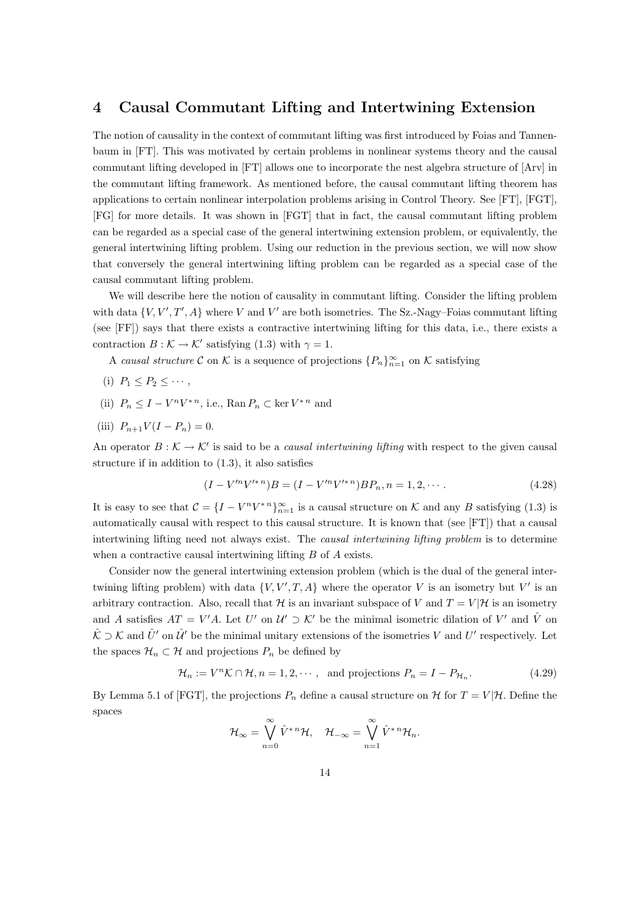#### 4 Causal Commutant Lifting and Intertwining Extension

The notion of causality in the context of commutant lifting was first introduced by Foias and Tannenbaum in [FT]. This was motivated by certain problems in nonlinear systems theory and the causal commutant lifting developed in [FT] allows one to incorporate the nest algebra structure of [Arv] in the commutant lifting framework. As mentioned before, the causal commutant lifting theorem has applications to certain nonlinear interpolation problems arising in Control Theory. See [FT], [FGT], [FG] for more details. It was shown in [FGT] that in fact, the causal commutant lifting problem can be regarded as a special case of the general intertwining extension problem, or equivalently, the general intertwining lifting problem. Using our reduction in the previous section, we will now show that conversely the general intertwining lifting problem can be regarded as a special case of the causal commutant lifting problem.

We will describe here the notion of causality in commutant lifting. Consider the lifting problem with data  $\{V, V', T', A\}$  where V and V' are both isometries. The Sz.-Nagy-Foias commutant lifting (see [FF]) says that there exists a contractive intertwining lifting for this data, i.e., there exists a contraction  $B : \mathcal{K} \to \mathcal{K}'$  satisfying (1.3) with  $\gamma = 1$ .

A causal structure C on K is a sequence of projections  ${P_n}_{n=1}^{\infty}$  on K satisfying

- (i)  $P_1 \leq P_2 \leq \cdots$ ,
- (ii)  $P_n \leq I V^n V^{*n}$ , i.e., Ran  $P_n \subset \text{ker } V^{*n}$  and
- (iii)  $P_{n+1}V(I P_n) = 0.$

An operator  $B: \mathcal{K} \to \mathcal{K}'$  is said to be a *causal intertwining lifting* with respect to the given causal structure if in addition to (1.3), it also satisfies

$$
(I - V'^n V'^{*n})B = (I - V'^n V'^{*n})BP_n, n = 1, 2, \cdots.
$$
\n(4.28)

It is easy to see that  $\mathcal{C} = \{I - V^n V^{*n}\}_{n=1}^{\infty}$  is a causal structure on K and any B satisfying (1.3) is automatically causal with respect to this causal structure. It is known that (see [FT]) that a causal intertwining lifting need not always exist. The causal intertwining lifting problem is to determine when a contractive causal intertwining lifting B of A exists.

Consider now the general intertwining extension problem (which is the dual of the general intertwining lifting problem) with data  $\{V, V', T, A\}$  where the operator V is an isometry but V' is an arbitrary contraction. Also, recall that  $\mathcal H$  is an invariant subspace of V and  $T = V | \mathcal H$  is an isometry and A satisfies  $AT = V'A$ . Let U' on  $\mathcal{U}' \supset \mathcal{K}'$  be the minimal isometric dilation of V' and  $\hat{V}$  on  $\hat{\mathcal{K}} \supset \mathcal{K}$  and  $\hat{U}'$  on  $\hat{\mathcal{U}}'$  be the minimal unitary extensions of the isometries V and U' respectively. Let the spaces  $\mathcal{H}_n \subset \mathcal{H}$  and projections  $P_n$  be defined by

$$
\mathcal{H}_n := V^n \mathcal{K} \cap \mathcal{H}, n = 1, 2, \cdots, \text{ and projections } P_n = I - P_{\mathcal{H}_n}.
$$
 (4.29)

By Lemma 5.1 of [FGT], the projections  $P_n$  define a causal structure on H for  $T = V | H$ . Define the spaces

$$
\mathcal{H}_{\infty} = \bigvee_{n=0}^{\infty} \hat{V}^{*n} \mathcal{H}, \quad \mathcal{H}_{-\infty} = \bigvee_{n=1}^{\infty} \hat{V}^{*n} \mathcal{H}_n.
$$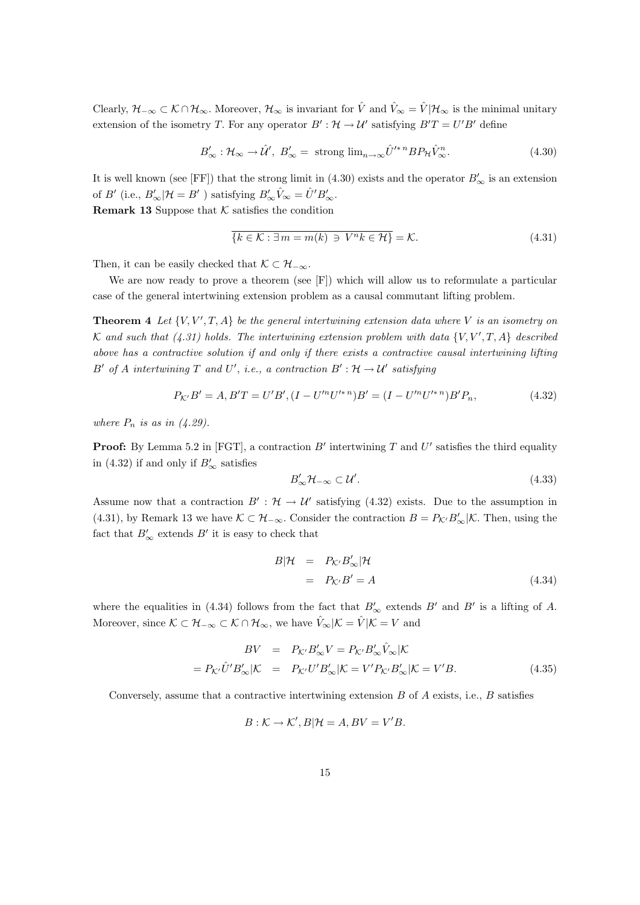Clearly,  $\mathcal{H}_{-\infty} \subset \mathcal{K} \cap \mathcal{H}_{\infty}$ . Moreover,  $\mathcal{H}_{\infty}$  is invariant for  $\hat{V}$  and  $\hat{V}_{\infty} = \hat{V} | \mathcal{H}_{\infty}$  is the minimal unitary extension of the isometry T. For any operator  $B': \mathcal{H} \to \mathcal{U}'$  satisfying  $B'T = U'B'$  define

$$
B'_{\infty}: \mathcal{H}_{\infty} \to \mathcal{U}', \ B'_{\infty} = \text{ strong } \lim_{n \to \infty} \mathcal{U}'^{*n} BP_{\mathcal{H}} \hat{V}_{\infty}^{n}.
$$
 (4.30)

It is well known (see [FF]) that the strong limit in (4.30) exists and the operator  $B'_{\infty}$  is an extension of  $B'$  (i.e.,  $B'_{\infty}$  | $\mathcal{H} = B'$  ) satisfying  $B'_{\infty} \hat{V}_{\infty} = \hat{U}' B'_{\infty}$ .

**Remark 13** Suppose that  $K$  satisfies the condition

$$
\overline{\{k \in \mathcal{K} : \exists \, m = m(k) \, \ni \, V^n k \in \mathcal{H}\}} = \mathcal{K}.\tag{4.31}
$$

Then, it can be easily checked that  $\mathcal{K} \subset \mathcal{H}_{-\infty}$ .

We are now ready to prove a theorem (see [F]) which will allow us to reformulate a particular case of the general intertwining extension problem as a causal commutant lifting problem.

**Theorem 4** Let  $\{V, V', T, A\}$  be the general intertwining extension data where V is an isometry on K and such that (4.31) holds. The intertwining extension problem with data  $\{V, V', T, A\}$  described above has a contractive solution if and only if there exists a contractive causal intertwining lifting B' of A intertwining T and U', i.e., a contraction  $B': \mathcal{H} \to \mathcal{U}'$  satisfying

$$
P_{\mathcal{K}'}B' = A, B'T = U'B', (I - U'^n U'^{*n})B' = (I - U'^n U'^{*n})B'P_n,
$$
\n(4.32)

where  $P_n$  is as in (4.29).

**Proof:** By Lemma 5.2 in [FGT], a contraction  $B'$  intertwining T and U' satisfies the third equality in (4.32) if and only if  $B'_{\infty}$  satisfies

$$
B'_{\infty} \mathcal{H}_{-\infty} \subset \mathcal{U}'.\tag{4.33}
$$

Assume now that a contraction  $B': \mathcal{H} \to \mathcal{U}'$  satisfying (4.32) exists. Due to the assumption in (4.31), by Remark 13 we have  $\mathcal{K} \subset \mathcal{H}_{-\infty}$ . Consider the contraction  $B = P_{\mathcal{K}'}B'_{\infty}|\mathcal{K}$ . Then, using the fact that  $B'_{\infty}$  extends  $B'$  it is easy to check that

$$
B|\mathcal{H} = P_{\mathcal{K}'}B_{\infty}'|\mathcal{H}
$$
  
=  $P_{\mathcal{K}'}B' = A$  (4.34)

where the equalities in (4.34) follows from the fact that  $B'_{\infty}$  extends  $B'$  and  $B'$  is a lifting of A. Moreover, since  $\mathcal{K} \subset \mathcal{H}_{-\infty} \subset \mathcal{K} \cap \mathcal{H}_{\infty}$ , we have  $\hat{V}_{\infty}|\mathcal{K} = \hat{V}|\mathcal{K} = V$  and

$$
BV = P_{\mathcal{K}'}B'_{\infty}V = P_{\mathcal{K}'}B'_{\infty}\hat{V}_{\infty}|\mathcal{K}
$$

$$
= P_{\mathcal{K}'}\hat{U}'B'_{\infty}|\mathcal{K} = P_{\mathcal{K}'}U'B'_{\infty}|\mathcal{K} = V'P_{\mathcal{K}'}B'_{\infty}|\mathcal{K} = V'B.
$$
(4.35)

Conversely, assume that a contractive intertwining extension  $B$  of  $A$  exists, i.e.,  $B$  satisfies

$$
B: \mathcal{K} \to \mathcal{K}', B|\mathcal{H} = A, BV = V'B.
$$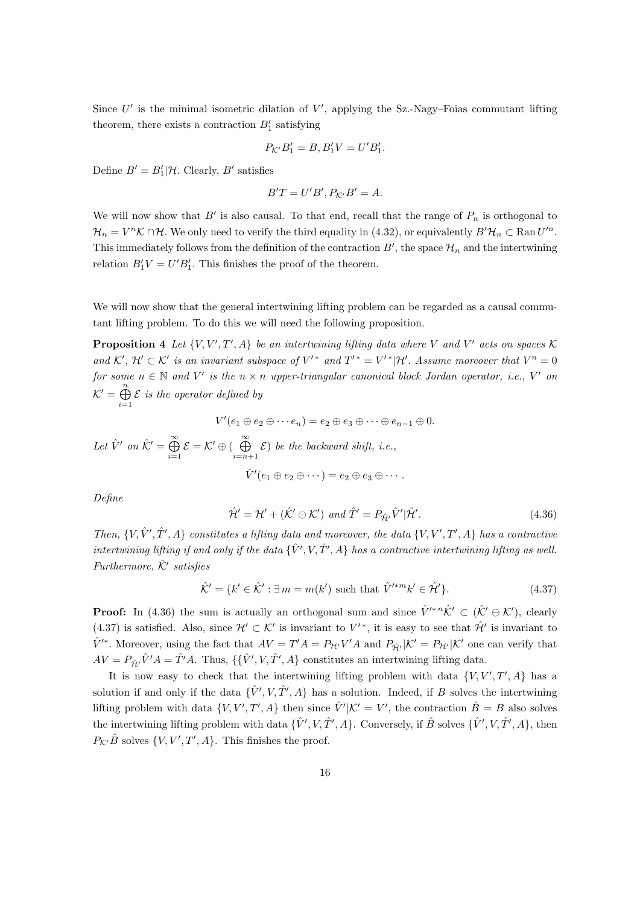Since  $U'$  is the minimal isometric dilation of  $V'$ , applying the Sz.-Nagy–Foias commutant lifting theorem, there exists a contraction  $B'_1$  satisfying

$$
P_{\mathcal{K}'}B_1' = B, B_1'V = U'B_1'.
$$

Define  $B' = B_1' | \mathcal{H}$ . Clearly,  $B'$  satisfies

$$
B'T = U'B', P_{\mathcal{K}'}B' = A.
$$

We will now show that  $B'$  is also causal. To that end, recall that the range of  $P_n$  is orthogonal to  $\mathcal{H}_n = V^n \mathcal{K} \cap \mathcal{H}$ . We only need to verify the third equality in (4.32), or equivalently  $B' \mathcal{H}_n \subset \text{Ran } U'^n$ . This immediately follows from the definition of the contraction  $B'$ , the space  $\mathcal{H}_n$  and the intertwining relation  $B_1'V = U'B_1'$ . This finishes the proof of the theorem.

We will now show that the general intertwining lifting problem can be regarded as a causal commutant lifting problem. To do this we will need the following proposition.

**Proposition 4** Let  $\{V, V', T', A\}$  be an intertwining lifting data where V and V' acts on spaces K and K',  $\mathcal{H}' \subset \mathcal{K}'$  is an invariant subspace of  $V'^*$  and  $T'^* = V'^*|\mathcal{H}'$ . Assume moreover that  $V^n = 0$ for some  $n \in \mathbb{N}$  and V' is the  $n \times n$  upper-triangular canonical block Jordan operator, i.e., V' on  $\mathcal{K}' = \bigoplus^n$  $i=1$  $\mathcal E$  is the operator defined by

$$
V'(e_1 \oplus e_2 \oplus \cdots e_n) = e_2 \oplus e_3 \oplus \cdots \oplus e_{n-1} \oplus 0.
$$

Let  $\hat{V}'$  on  $\hat{\mathcal{K}}' = \bigoplus^{\infty}$  $i=1$  $\mathcal{E} = \mathcal{K}' \oplus (\begin{array}{c} \infty \\ \bigoplus \end{array})$  $i=n+1$  $\mathcal{E}$ ) be the backward shift, i.e.,  $\hat{V}'(e_1 \oplus e_2 \oplus \cdots) = e_2 \oplus e_3 \oplus \cdots$ 

Define

$$
\hat{\mathcal{H}}' = \mathcal{H}' + (\hat{\mathcal{K}}' \ominus \mathcal{K}') \text{ and } \hat{T}' = P_{\hat{\mathcal{H}}'} \hat{V}' |\hat{\mathcal{H}}'. \tag{4.36}
$$

Then,  $\{V, \hat{V}', \hat{T}', A\}$  constitutes a lifting data and moreover, the data  $\{V, V', T', A\}$  has a contractive intertwining lifting if and only if the data  $\{\hat{V}', V, \hat{T}', A\}$  has a contractive intertwining lifting as well. Furthermore,  $\hat{\mathcal{K}}'$  satisfies

$$
\hat{\mathcal{K}}' = \{k' \in \hat{\mathcal{K}}' : \exists \, m = m(k') \text{ such that } \hat{V}'^{*m}k' \in \hat{\mathcal{H}}'\}.
$$
\n(4.37)

**Proof:** In (4.36) the sum is actually an orthogonal sum and since  $\hat{V}^{\prime *n}\hat{K}^{\prime} \subset (\hat{K}^{\prime}\ominus K^{\prime})$ , clearly (4.37) is satisfied. Also, since  $\mathcal{H}' \subset \mathcal{K}'$  is invariant to  $V'$ <sup>\*</sup>, it is easy to see that  $\mathcal{H}'$  is invariant to  $\hat{V}'^*$ . Moreover, using the fact that  $AV = T'A = P_{\mathcal{H}'}V'A$  and  $P_{\hat{\mathcal{H}}'}|\mathcal{K}' = P_{\mathcal{H}'}|\mathcal{K}'$  one can verify that  $AV = P_{\hat{\mathcal{H}}'} \hat{V}'A = \hat{T}'A$ . Thus,  $\{\{\hat{V}', V, \hat{T}', A\}$  constitutes an intertwining lifting data.

It is now easy to check that the intertwining lifting problem with data  $\{V, V', T', A\}$  has a solution if and only if the data  $\{\hat{V}', V, \hat{T}', A\}$  has a solution. Indeed, if B solves the intertwining lifting problem with data  $\{V, V', T', A\}$  then since  $\hat{V}' | \mathcal{K}' = V'$ , the contraction  $\hat{B} = B$  also solves the intertwining lifting problem with data  $\{\hat{V}', V, \hat{T}', A\}$ . Conversely, if  $\hat{B}$  solves  $\{\hat{V}', V, \hat{T}', A\}$ , then  $P_{\mathcal{K}'}\hat{B}$  solves  $\{V, V', T', A\}$ . This finishes the proof.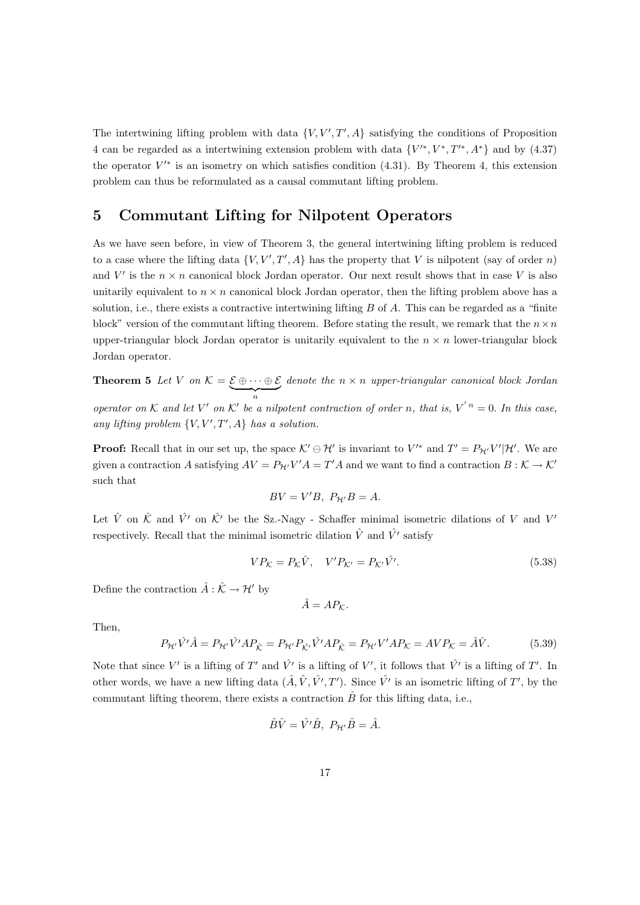The intertwining lifting problem with data  $\{V, V', T', A\}$  satisfying the conditions of Proposition 4 can be regarded as a intertwining extension problem with data  $\{V^{\prime*}, V^*, T^{\prime*}, A^*\}$  and by (4.37) the operator  $V^*$  is an isometry on which satisfies condition (4.31). By Theorem 4, this extension problem can thus be reformulated as a causal commutant lifting problem.

#### 5 Commutant Lifting for Nilpotent Operators

As we have seen before, in view of Theorem 3, the general intertwining lifting problem is reduced to a case where the lifting data  $\{V, V', T', A\}$  has the property that V is nilpotent (say of order n) and V' is the  $n \times n$  canonical block Jordan operator. Our next result shows that in case V is also unitarily equivalent to  $n \times n$  canonical block Jordan operator, then the lifting problem above has a solution, i.e., there exists a contractive intertwining lifting  $B$  of  $A$ . This can be regarded as a "finite block" version of the commutant lifting theorem. Before stating the result, we remark that the  $n \times n$ upper-triangular block Jordan operator is unitarily equivalent to the  $n \times n$  lower-triangular block Jordan operator.

**Theorem 5** Let V on  $\mathcal{K} = \mathcal{E} \oplus \cdots \oplus \mathcal{E}$  $\overbrace{n}$ denote the  $n \times n$  upper-triangular canonical block Jordan operator on K and let V' on K' be a nilpotent contraction of order n, that is,  $V^{n} = 0$ . In this case, any lifting problem  $\{V, V', T', A\}$  has a solution.

**Proof:** Recall that in our set up, the space  $K' \ominus H'$  is invariant to  $V'^*$  and  $T' = P_{H'}V'|\mathcal{H}'$ . We are given a contraction A satisfying  $AV = P_{H'}V'A = T'A$  and we want to find a contraction  $B: K \to K'$ such that

$$
BV = V'B, P_{\mathcal{H}'}B = A.
$$

Let  $\hat{V}$  on  $\hat{\mathcal{K}}$  and  $\hat{V'}$  on  $\hat{\mathcal{K}}'$  be the Sz.-Nagy - Schaffer minimal isometric dilations of V and V' respectively. Recall that the minimal isometric dilation  $\hat{V}$  and  $\hat{V}'$  satisfy

$$
VP_{\mathcal{K}} = P_{\mathcal{K}}\hat{V}, \quad V'P_{\mathcal{K}'} = P_{\mathcal{K}'}\hat{V'}.
$$
\n
$$
(5.38)
$$

Define the contraction  $\hat{A} : \hat{\mathcal{K}} \to \mathcal{H}'$  by

$$
\hat{A} = AP_{\mathcal{K}}.
$$

Then,

$$
P_{\mathcal{H}'}\hat{V}'\hat{A} = P_{\mathcal{H}'}\hat{V}'AP_{\hat{\mathcal{K}}} = P_{\mathcal{H}'}P_{\hat{\mathcal{K}}'}\hat{V}'AP_{\hat{\mathcal{K}}} = P_{\mathcal{H}'}V'AP_{\mathcal{K}} = AVP_{\mathcal{K}} = \hat{A}\hat{V}.
$$
(5.39)

Note that since V' is a lifting of T' and  $\hat{V'}$  is a lifting of V', it follows that  $\hat{V'}$  is a lifting of T'. In other words, we have a new lifting data  $(\hat{A}, \hat{V}, \hat{V'}, T')$ . Since  $\hat{V'}$  is an isometric lifting of  $T'$ , by the commutant lifting theorem, there exists a contraction  $\hat{B}$  for this lifting data, i.e.,

$$
\hat{B}\hat{V} = \hat{V}'\hat{B}, \ P_{\mathcal{H}'}\hat{B} = \hat{A}.
$$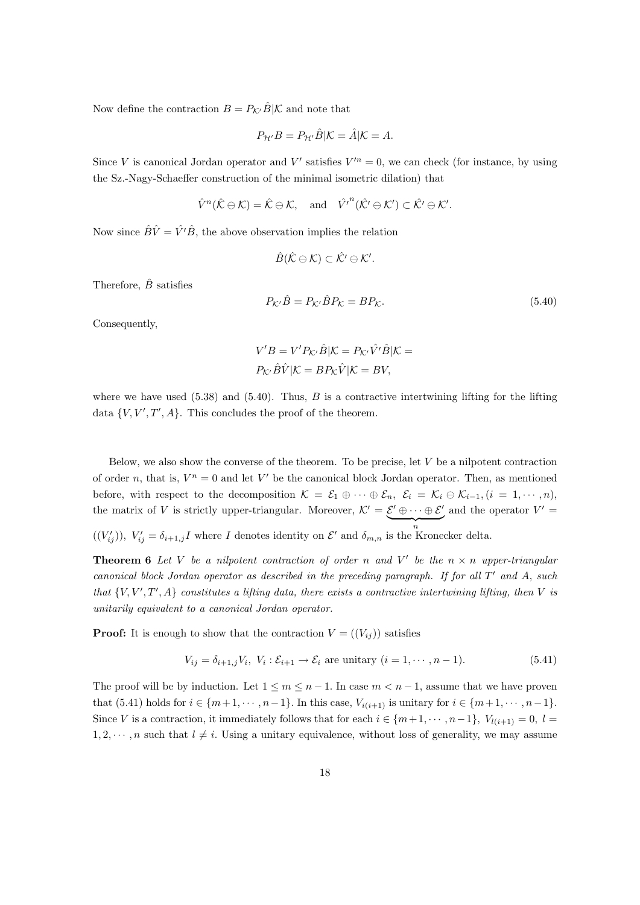Now define the contraction  $B = P_{K'}\hat{B}|\mathcal{K}$  and note that

$$
P_{\mathcal{H}'}B = P_{\mathcal{H}'}\hat{B}|\mathcal{K} = \hat{A}|\mathcal{K} = A.
$$

Since V is canonical Jordan operator and V' satisfies  $V'^n = 0$ , we can check (for instance, by using the Sz.-Nagy-Schaeffer construction of the minimal isometric dilation) that

$$
\hat{V}^n(\hat{\mathcal{K}} \ominus \mathcal{K}) = \hat{\mathcal{K}} \ominus \mathcal{K}, \quad \text{and} \quad \hat{V'}^n(\hat{\mathcal{K}'} \ominus \mathcal{K}') \subset \hat{\mathcal{K}'} \ominus \mathcal{K}'.
$$

Now since  $\hat{B}\hat{V} = \hat{V}'\hat{B}$ , the above observation implies the relation

$$
\hat{B}(\hat{\mathcal{K}} \ominus \mathcal{K}) \subset \hat{\mathcal{K}}' \ominus \mathcal{K}'.
$$

Therefore,  $\hat{B}$  satisfies

$$
P_{\mathcal{K}'}\hat{B} = P_{\mathcal{K}'}\hat{B}P_{\mathcal{K}} = BP_{\mathcal{K}}.\tag{5.40}
$$

Consequently,

$$
V'B = V'P_{\mathcal{K}'}\hat{B}|\mathcal{K} = P_{\mathcal{K}'}\hat{V'}\hat{B}|\mathcal{K} = P_{\mathcal{K}'}\hat{B}\hat{V}|\mathcal{K} = BP_{\mathcal{K}}\hat{V}|\mathcal{K} = BV,
$$

where we have used  $(5.38)$  and  $(5.40)$ . Thus, B is a contractive intertwining lifting for the lifting data  $\{V, V', T', A\}$ . This concludes the proof of the theorem.

Below, we also show the converse of the theorem. To be precise, let  $V$  be a nilpotent contraction of order n, that is,  $V^n = 0$  and let V' be the canonical block Jordan operator. Then, as mentioned before, with respect to the decomposition  $\mathcal{K} = \mathcal{E}_1 \oplus \cdots \oplus \mathcal{E}_n$ ,  $\mathcal{E}_i = \mathcal{K}_i \ominus \mathcal{K}_{i-1}$ ,  $(i = 1, \dots, n)$ , the matrix of V is strictly upper-triangular. Moreover,  $\mathcal{K}' = \mathcal{E}' \oplus \cdots \oplus \mathcal{E}'$  $\overbrace{n}$ and the operator  $V' =$ 

 $((V'_{ij}))$ ,  $V'_{ij} = \delta_{i+1,j}I$  where I denotes identity on  $\mathcal{E}'$  and  $\delta_{m,n}$  is the Kronecker delta.

**Theorem 6** Let V be a nilpotent contraction of order n and V' be the  $n \times n$  upper-triangular canonical block Jordan operator as described in the preceding paragraph. If for all  $T'$  and  $A$ , such that  $\{V, V', T', A\}$  constitutes a lifting data, there exists a contractive intertwining lifting, then V is unitarily equivalent to a canonical Jordan operator.

**Proof:** It is enough to show that the contraction  $V = ((V_{ij}))$  satisfies

$$
V_{ij} = \delta_{i+1,j} V_i, V_i : \mathcal{E}_{i+1} \to \mathcal{E}_i \text{ are unitary } (i = 1, \cdots, n-1). \tag{5.41}
$$

The proof will be by induction. Let  $1 \le m \le n-1$ . In case  $m < n-1$ , assume that we have proven that (5.41) holds for  $i \in \{m+1, \dots, n-1\}$ . In this case,  $V_{i(i+1)}$  is unitary for  $i \in \{m+1, \dots, n-1\}$ . Since V is a contraction, it immediately follows that for each  $i \in \{m+1, \dots, n-1\}$ ,  $V_{l(i+1)} = 0$ ,  $l =$  $1, 2, \dots, n$  such that  $l \neq i$ . Using a unitary equivalence, without loss of generality, we may assume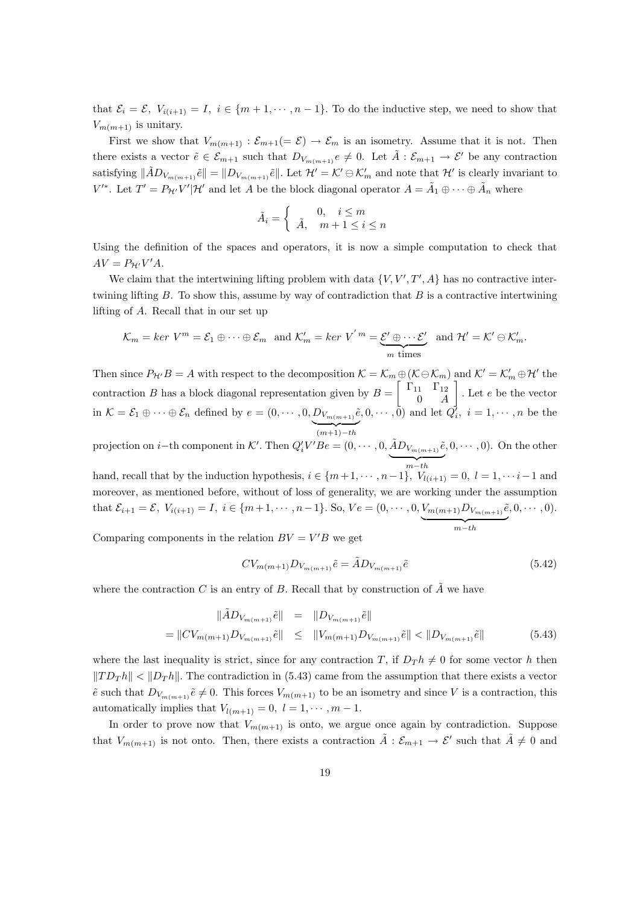that  $\mathcal{E}_i = \mathcal{E}, V_{i(i+1)} = I, i \in \{m+1, \dots, n-1\}.$  To do the inductive step, we need to show that  $V_{m(m+1)}$  is unitary.

First we show that  $V_{m(m+1)}$ :  $\mathcal{E}_{m+1}(=\mathcal{E}) \to \mathcal{E}_m$  is an isometry. Assume that it is not. Then there exists a vector  $\tilde{e} \in \mathcal{E}_{m+1}$  such that  $D_{V_{m(m+1)}} e \neq 0$ . Let  $\tilde{A} : \mathcal{E}_{m+1} \to \mathcal{E}'$  be any contraction satisfying  $\|\tilde{A}D_{V_{m(m+1)}}\tilde{e}\| = \|D_{V_{m(m+1)}}\tilde{e}\|$ . Let  $\mathcal{H}' = \mathcal{K}' \ominus \mathcal{K}'_m$  and note that  $\mathcal{H}'$  is clearly invariant to  $V'^*$ . Let  $T' = P_{\mathcal{H}'} V' | \mathcal{H}'$  and let A be the block diagonal operator  $A = \tilde{A}_1 \oplus \cdots \oplus \tilde{A}_n$  where

$$
\tilde{A}_i = \begin{cases} 0, & i \le m \\ \tilde{A}, & m+1 \le i \le n \end{cases}
$$

Using the definition of the spaces and operators, it is now a simple computation to check that  $AV = P_{\mathcal{H}'} V' A$ .

We claim that the intertwining lifting problem with data  $\{V, V', T', A\}$  has no contractive intertwining lifting  $B$ . To show this, assume by way of contradiction that  $B$  is a contractive intertwining lifting of A. Recall that in our set up

$$
\mathcal{K}_m = \text{ker } V^m = \mathcal{E}_1 \oplus \cdots \oplus \mathcal{E}_m \text{ and } \mathcal{K}'_m = \text{ker } V^{'\,m} = \underbrace{\mathcal{E}' \oplus \cdots \mathcal{E}'}_{m \text{ times}} \text{ and } \mathcal{H}' = \mathcal{K}' \oplus \mathcal{K}'_m.
$$

Then since  $P_{\mathcal{H}'}B = A$  with respect to the decomposition  $\mathcal{K} = \mathcal{K}_m \oplus (\mathcal{K} \ominus \mathcal{K}_m)$  and  $\mathcal{K}' = \mathcal{K}'_m \oplus \mathcal{H}'$  the contraction B has a block diagonal representation given by  $B = \begin{bmatrix} \Gamma_{11} & \Gamma_{12} \\ 0 & 0 \end{bmatrix}$  $0 \quad A$  $\big]$ . Let *e* be the vector in  $\mathcal{K} = \mathcal{E}_1 \oplus \cdots \oplus \mathcal{E}_n$  defined by  $e = (0, \dots, 0, D_{V_{m(m+1)}}\tilde{e}, 0, \dots, \tilde{0})$  and let  $Q_i^j$ ,  $i = 1, \dots, n$  be the  $(m+1)-th$ 

projection on *i*-th component in K'. Then  $Q_i'V'Be = (0, \dots, 0, \tilde{A}D_{V_{m(m+1)}}\tilde{e})$  ${m-th}$  $(0, 0, \dots, 0)$ . On the other

hand, recall that by the induction hypothesis,  $i \in \{m+1, \dots, n-1\}$ ,  $V_{l(i+1)} = 0$ ,  $l = 1, \dots, i-1$  and moreover, as mentioned before, without of loss of generality, we are working under the assumption that  $\mathcal{E}_{i+1} = \mathcal{E}, V_{i(i+1)} = I, i \in \{m+1, \cdots, n-1\}.$  So,  $Ve = (0, \cdots, 0, V_{m(m+1)}D_{V_{m(m+1)}}\tilde{e})$  ${m-th}$  $(0, 0, \cdots, 0).$ 

Comparing components in the relation  $BV = V'B$  we get

$$
CV_{m(m+1)}D_{V_{m(m+1)}}\tilde{e} = \tilde{A}D_{V_{m(m+1)}}\tilde{e}
$$
\n(5.42)

where the contraction C is an entry of B. Recall that by construction of  $\tilde{A}$  we have

$$
\|\tilde{A}D_{V_{m(m+1)}}\tilde{e}\| = \|D_{V_{m(m+1)}}\tilde{e}\|
$$
  
=  $||U_{m(m+1)}D_{V_{m(m+1)}}\tilde{e}|| \le ||V_{m(m+1)}D_{V_{m(m+1)}}\tilde{e}|| < ||D_{V_{m(m+1)}}\tilde{e}||$  (5.43)

where the last inequality is strict, since for any contraction T, if  $D_{T}h \neq 0$  for some vector h then  $||TD_{Th}|| < ||D_{Th}||$ . The contradiction in (5.43) came from the assumption that there exists a vector  $\tilde{e}$  such that  $D_{V_{m(m+1)}}\tilde{e}\neq 0$ . This forces  $V_{m(m+1)}$  to be an isometry and since V is a contraction, this automatically implies that  $V_{l(m+1)} = 0, l = 1, \dots, m-1.$ 

In order to prove now that  $V_{m(m+1)}$  is onto, we argue once again by contradiction. Suppose that  $V_{m(m+1)}$  is not onto. Then, there exists a contraction  $\tilde{A}: \mathcal{E}_{m+1} \to \mathcal{E}'$  such that  $\tilde{A} \neq 0$  and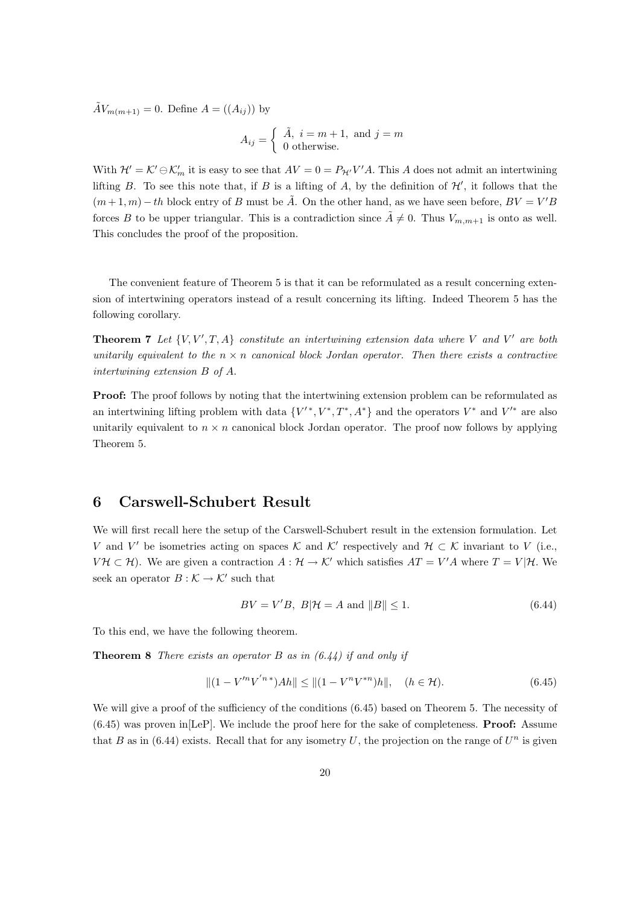$\tilde{A}V_{m(m+1)} = 0$ . Define  $A = ((A_{ij}))$  by

$$
A_{ij} = \begin{cases} \tilde{A}, i = m+1, \text{ and } j = m \\ 0 \text{ otherwise.} \end{cases}
$$

With  $\mathcal{H}' = \mathcal{K}' \oplus \mathcal{K}'_m$  it is easy to see that  $AV = 0 = P_{\mathcal{H}'} V'A$ . This A does not admit an intertwining lifting B. To see this note that, if B is a lifting of A, by the definition of  $\mathcal{H}'$ , it follows that the  $(m+1, m) - th$  block entry of B must be  $\tilde{A}$ . On the other hand, as we have seen before,  $BV = V'B$ forces B to be upper triangular. This is a contradiction since  $\tilde{A} \neq 0$ . Thus  $V_{m,m+1}$  is onto as well. This concludes the proof of the proposition.

The convenient feature of Theorem 5 is that it can be reformulated as a result concerning extension of intertwining operators instead of a result concerning its lifting. Indeed Theorem 5 has the following corollary.

**Theorem 7** Let  $\{V, V', T, A\}$  constitute an intertwining extension data where V and V' are both unitarily equivalent to the  $n \times n$  canonical block Jordan operator. Then there exists a contractive intertwining extension B of A.

**Proof:** The proof follows by noting that the intertwining extension problem can be reformulated as an intertwining lifting problem with data  $\{V^{\prime\,*}, V^{\ast}, T^{\ast}, A^{\ast}\}\$ and the operators  $V^*$  and  $V^{\prime\ast}$  are also unitarily equivalent to  $n \times n$  canonical block Jordan operator. The proof now follows by applying Theorem 5.

#### 6 Carswell-Schubert Result

We will first recall here the setup of the Carswell-Schubert result in the extension formulation. Let V and V' be isometries acting on spaces K and K' respectively and  $\mathcal{H} \subset \mathcal{K}$  invariant to V (i.e.,  $V\mathcal{H} \subset \mathcal{H}$ ). We are given a contraction  $A: \mathcal{H} \to \mathcal{K}'$  which satisfies  $AT = V'A$  where  $T = V|\mathcal{H}$ . We seek an operator  $B : \mathcal{K} \to \mathcal{K}'$  such that

$$
BV = V'B, \ B|\mathcal{H} = A \text{ and } ||B|| \le 1. \tag{6.44}
$$

To this end, we have the following theorem.

**Theorem 8** There exists an operator B as in  $(6.44)$  if and only if

$$
||(1 - V'^n V'^{n*})Ah|| \le ||(1 - V^n V^{*n})h||, \quad (h \in \mathcal{H}).
$$
\n(6.45)

We will give a proof of the sufficiency of the conditions  $(6.45)$  based on Theorem 5. The necessity of  $(6.45)$  was proven in [LeP]. We include the proof here for the sake of completeness. **Proof:** Assume that B as in (6.44) exists. Recall that for any isometry U, the projection on the range of  $U<sup>n</sup>$  is given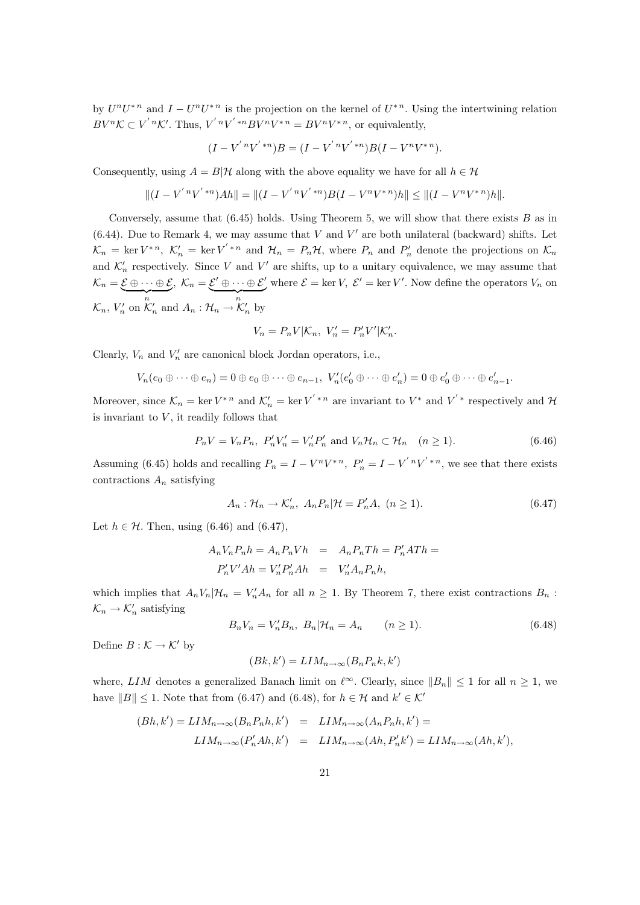by  $U^nU^{n}$  and  $I-U^nU^{n}$  is the projection on the kernel of  $U^{n}$ . Using the intertwining relation  $BV^{n}\mathcal{K} \subset V^{'n}\mathcal{K}'$ . Thus,  $V^{'n}V^{'*n}BV^{n}V^{*n} = BV^{n}V^{*n}$ , or equivalently,

$$
(I - V^{'n}V^{'*n})B = (I - V^{'n}V^{'*n})B(I - V^nV^{*n}).
$$

Consequently, using  $A = B|\mathcal{H}$  along with the above equality we have for all  $h \in \mathcal{H}$ 

$$
||(I - V^{'n}V^{'*n})Ah|| = ||(I - V^{'n}V^{'*n})B(I - V^nV^{*n})h|| \le ||(I - V^nV^{*n})h||.
$$

Conversely, assume that  $(6.45)$  holds. Using Theorem 5, we will show that there exists B as in  $(6.44)$ . Due to Remark 4, we may assume that V and V' are both unilateral (backward) shifts. Let  $\mathcal{K}_n = \ker V^{*n}, \ \mathcal{K}'_n = \ker V'^{*n}$  and  $\mathcal{H}_n = P_n\mathcal{H}$ , where  $P_n$  and  $P'_n$  denote the projections on  $\mathcal{K}_n$ and  $\mathcal{K}'_n$  respectively. Since V and V' are shifts, up to a unitary equivalence, we may assume that  $\mathcal{K}_n = \mathcal{E} \oplus \cdots \oplus \mathcal{E}, \ \mathcal{K}_n = \mathcal{E}' \oplus \cdots \oplus \mathcal{E}'$  where  $\mathcal{E} = \ker V, \ \mathcal{E}' = \ker V'$ . Now define the operators  $V_n$  on  ${\mathcal K}_n, V'_n$  on  ${\mathcal K}'_n$  and  $A_n: {\mathcal H}_n \to {\mathcal K}'_n$  by

$$
V_n=P_nV|\mathcal{K}_n, V_n'=P_n'V'|\mathcal{K}_n'.
$$

Clearly,  $V_n$  and  $V'_n$  are canonical block Jordan operators, i.e.,

$$
V_n(e_0\oplus\cdots\oplus e_n)=0\oplus e_0\oplus\cdots\oplus e_{n-1},\ V'_n(e'_0\oplus\cdots\oplus e'_n)=0\oplus e'_0\oplus\cdots\oplus e'_{n-1}.
$$

Moreover, since  $\mathcal{K}_n = \ker V^{*n}$  and  $\mathcal{K}'_n = \ker V'^{*n}$  are invariant to  $V^*$  and  $V'^*$  respectively and  $\mathcal{H}$ is invariant to  $V$ , it readily follows that

$$
P_n V = V_n P_n, P'_n V'_n = V'_n P'_n \text{ and } V_n \mathcal{H}_n \subset \mathcal{H}_n \quad (n \ge 1).
$$
 (6.46)

Assuming (6.45) holds and recalling  $P_n = I - V^n V^{*n}$ ,  $P'_n = I - V' {^n}V' {^*}^n$ , we see that there exists contractions  $A_n$  satisfying

$$
A_n: \mathcal{H}_n \to \mathcal{K}'_n, \ A_n P_n | \mathcal{H} = P'_n A, \ (n \ge 1).
$$
\n
$$
(6.47)
$$

Let  $h \in \mathcal{H}$ . Then, using (6.46) and (6.47),

$$
A_n V_n P_n h = A_n P_n V h = A_n P_n T h = P'_n A T h =
$$
  

$$
P'_n V' A h = V'_n P'_n A h = V'_n A_n P_n h,
$$

which implies that  $A_n V_n | \mathcal{H}_n = V'_n A_n$  for all  $n \geq 1$ . By Theorem 7, there exist contractions  $B_n$ :  $\mathcal{K}_n \to \mathcal{K}'_n$  satisfying

$$
B_n V_n = V'_n B_n, \ B_n | \mathcal{H}_n = A_n \qquad (n \ge 1).
$$
 (6.48)

Define  $B : \mathcal{K} \to \mathcal{K}'$  by

$$
(Bk, k') = LIM_{n \to \infty}(B_n P_n k, k')
$$

where, LIM denotes a generalized Banach limit on  $\ell^{\infty}$ . Clearly, since  $||B_n|| \leq 1$  for all  $n \geq 1$ , we have  $||B|| \leq 1$ . Note that from (6.47) and (6.48), for  $h \in \mathcal{H}$  and  $k' \in \mathcal{K}'$ 

$$
(Bh, k') = LIM_{n \to \infty}(B_n P_n h, k') = LIM_{n \to \infty}(A_n P_n h, k') =
$$
  

$$
LIM_{n \to \infty}(P'_n A h, k') = LIM_{n \to \infty}(A h, P'_n k') = LIM_{n \to \infty}(A h, k'),
$$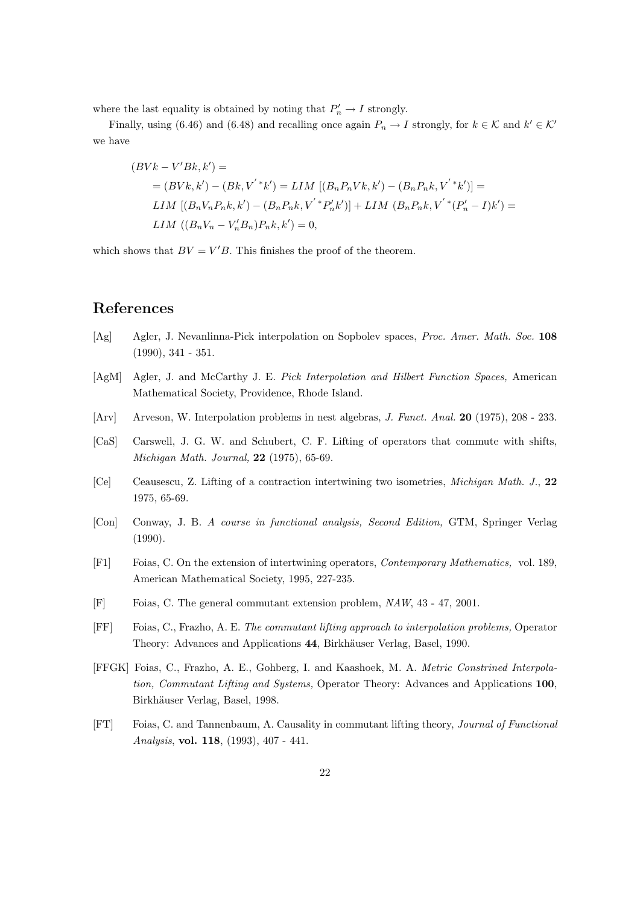where the last equality is obtained by noting that  $P'_n \to I$  strongly.

Finally, using (6.46) and (6.48) and recalling once again  $P_n \to I$  strongly, for  $k \in \mathcal{K}$  and  $k' \in \mathcal{K}'$ we have

$$
(BVk - V'Bk, k') =
$$
  
=  $(BVk, k') - (Bk, V' * k') = LIM [(B_nP_nVk, k') - (B_nP_nk, V' * k')] =$   

$$
LIM [(B_nV_nP_nk, k') - (B_nP_nk, V' * P'_nk')] + LIM (B_nP_nk, V' * (P'_n - I)k') =
$$
  

$$
LIM ((B_nV_n - V'_nB_n)P_nk, k') = 0,
$$

which shows that  $BV = V'B$ . This finishes the proof of the theorem.

### References

- [Ag] Agler, J. Nevanlinna-Pick interpolation on Sopbolev spaces, Proc. Amer. Math. Soc. 108 (1990), 341 - 351.
- [AgM] Agler, J. and McCarthy J. E. Pick Interpolation and Hilbert Function Spaces, American Mathematical Society, Providence, Rhode Island.
- [Arv] Arveson, W. Interpolation problems in nest algebras, *J. Funct. Anal.* **20** (1975), 208 233.
- [CaS] Carswell, J. G. W. and Schubert, C. F. Lifting of operators that commute with shifts, Michigan Math. Journal, 22 (1975), 65-69.
- [Ce] Ceausescu, Z. Lifting of a contraction intertwining two isometries, Michigan Math. J., 22 1975, 65-69.
- [Con] Conway, J. B. A course in functional analysis, Second Edition, GTM, Springer Verlag (1990).
- [F1] Foias, C. On the extension of intertwining operators, Contemporary Mathematics, vol. 189, American Mathematical Society, 1995, 227-235.
- [F] Foias, C. The general commutant extension problem, NAW, 43 47, 2001.
- [FF] Foias, C., Frazho, A. E. The commutant lifting approach to interpolation problems, Operator Theory: Advances and Applications 44, Birkhäuser Verlag, Basel, 1990.
- [FFGK] Foias, C., Frazho, A. E., Gohberg, I. and Kaashoek, M. A. Metric Constrined Interpolation, Commutant Lifting and Systems, Operator Theory: Advances and Applications 100, Birkhäuser Verlag, Basel, 1998.
- [FT] Foias, C. and Tannenbaum, A. Causality in commutant lifting theory, Journal of Functional Analysis, vol. 118, (1993), 407 - 441.